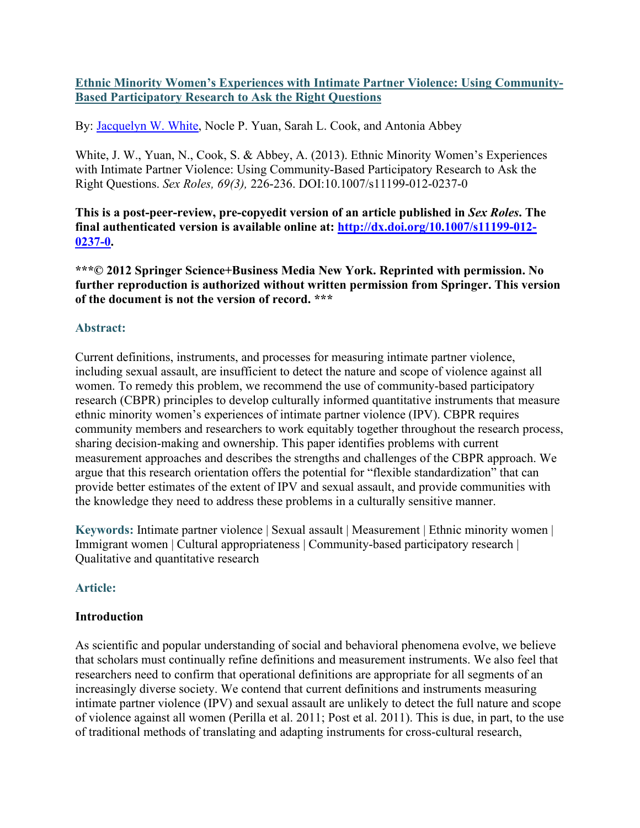# **Ethnic Minority Women's Experiences with Intimate Partner Violence: Using Community-Based Participatory Research to Ask the Right Questions**

By: [Jacquelyn W. White,](https://libres.uncg.edu/ir/uncg/clist.aspx?id=475) Nocle P. Yuan, Sarah L. Cook, and Antonia Abbey

White, J. W., Yuan, N., Cook, S. & Abbey, A. (2013). Ethnic Minority Women's Experiences with Intimate Partner Violence: Using Community-Based Participatory Research to Ask the Right Questions. *Sex Roles, 69(3),* 226-236. DOI:10.1007/s11199-012-0237-0

**This is a post-peer-review, pre-copyedit version of an article published in** *Sex Roles***. The final authenticated version is available online at: [http://dx.doi.org/10.1007/s11199-012-](http://dx.doi.org/10.1007/s11199-012-0237-0) [0237-0.](http://dx.doi.org/10.1007/s11199-012-0237-0)**

**\*\*\*© 2012 Springer Science+Business Media New York. Reprinted with permission. No further reproduction is authorized without written permission from Springer. This version of the document is not the version of record. \*\*\***

### **Abstract:**

Current definitions, instruments, and processes for measuring intimate partner violence, including sexual assault, are insufficient to detect the nature and scope of violence against all women. To remedy this problem, we recommend the use of community-based participatory research (CBPR) principles to develop culturally informed quantitative instruments that measure ethnic minority women's experiences of intimate partner violence (IPV). CBPR requires community members and researchers to work equitably together throughout the research process, sharing decision-making and ownership. This paper identifies problems with current measurement approaches and describes the strengths and challenges of the CBPR approach. We argue that this research orientation offers the potential for "flexible standardization" that can provide better estimates of the extent of IPV and sexual assault, and provide communities with the knowledge they need to address these problems in a culturally sensitive manner.

**Keywords:** Intimate partner violence | Sexual assault | Measurement | Ethnic minority women | Immigrant women | Cultural appropriateness | Community-based participatory research | Qualitative and quantitative research

# **Article:**

### **Introduction**

As scientific and popular understanding of social and behavioral phenomena evolve, we believe that scholars must continually refine definitions and measurement instruments. We also feel that researchers need to confirm that operational definitions are appropriate for all segments of an increasingly diverse society. We contend that current definitions and instruments measuring intimate partner violence (IPV) and sexual assault are unlikely to detect the full nature and scope of violence against all women (Perilla et al. 2011; Post et al. 2011). This is due, in part, to the use of traditional methods of translating and adapting instruments for cross-cultural research,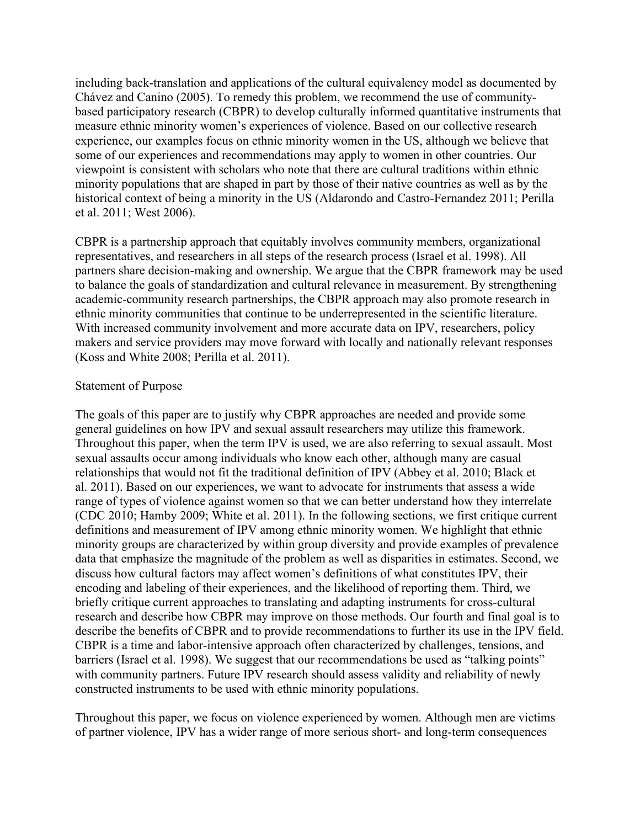including back-translation and applications of the cultural equivalency model as documented by Chávez and Canino (2005). To remedy this problem, we recommend the use of communitybased participatory research (CBPR) to develop culturally informed quantitative instruments that measure ethnic minority women's experiences of violence. Based on our collective research experience, our examples focus on ethnic minority women in the US, although we believe that some of our experiences and recommendations may apply to women in other countries. Our viewpoint is consistent with scholars who note that there are cultural traditions within ethnic minority populations that are shaped in part by those of their native countries as well as by the historical context of being a minority in the US (Aldarondo and Castro-Fernandez 2011; Perilla et al. 2011; West 2006).

CBPR is a partnership approach that equitably involves community members, organizational representatives, and researchers in all steps of the research process (Israel et al. 1998). All partners share decision-making and ownership. We argue that the CBPR framework may be used to balance the goals of standardization and cultural relevance in measurement. By strengthening academic-community research partnerships, the CBPR approach may also promote research in ethnic minority communities that continue to be underrepresented in the scientific literature. With increased community involvement and more accurate data on IPV, researchers, policy makers and service providers may move forward with locally and nationally relevant responses (Koss and White 2008; Perilla et al. 2011).

#### Statement of Purpose

The goals of this paper are to justify why CBPR approaches are needed and provide some general guidelines on how IPV and sexual assault researchers may utilize this framework. Throughout this paper, when the term IPV is used, we are also referring to sexual assault. Most sexual assaults occur among individuals who know each other, although many are casual relationships that would not fit the traditional definition of IPV (Abbey et al. 2010; Black et al. 2011). Based on our experiences, we want to advocate for instruments that assess a wide range of types of violence against women so that we can better understand how they interrelate (CDC 2010; Hamby 2009; White et al. 2011). In the following sections, we first critique current definitions and measurement of IPV among ethnic minority women. We highlight that ethnic minority groups are characterized by within group diversity and provide examples of prevalence data that emphasize the magnitude of the problem as well as disparities in estimates. Second, we discuss how cultural factors may affect women's definitions of what constitutes IPV, their encoding and labeling of their experiences, and the likelihood of reporting them. Third, we briefly critique current approaches to translating and adapting instruments for cross-cultural research and describe how CBPR may improve on those methods. Our fourth and final goal is to describe the benefits of CBPR and to provide recommendations to further its use in the IPV field. CBPR is a time and labor-intensive approach often characterized by challenges, tensions, and barriers (Israel et al. 1998). We suggest that our recommendations be used as "talking points" with community partners. Future IPV research should assess validity and reliability of newly constructed instruments to be used with ethnic minority populations.

Throughout this paper, we focus on violence experienced by women. Although men are victims of partner violence, IPV has a wider range of more serious short- and long-term consequences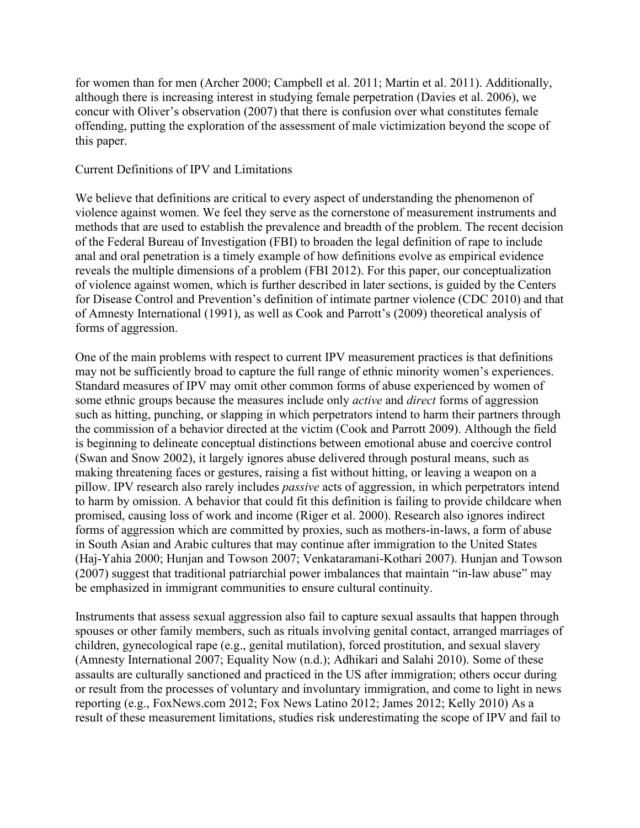for women than for men (Archer 2000; Campbell et al. 2011; Martin et al. 2011). Additionally, although there is increasing interest in studying female perpetration (Davies et al. 2006), we concur with Oliver's observation (2007) that there is confusion over what constitutes female offending, putting the exploration of the assessment of male victimization beyond the scope of this paper.

#### Current Definitions of IPV and Limitations

We believe that definitions are critical to every aspect of understanding the phenomenon of violence against women. We feel they serve as the cornerstone of measurement instruments and methods that are used to establish the prevalence and breadth of the problem. The recent decision of the Federal Bureau of Investigation (FBI) to broaden the legal definition of rape to include anal and oral penetration is a timely example of how definitions evolve as empirical evidence reveals the multiple dimensions of a problem (FBI 2012). For this paper, our conceptualization of violence against women, which is further described in later sections, is guided by the Centers for Disease Control and Prevention's definition of intimate partner violence (CDC 2010) and that of Amnesty International (1991), as well as Cook and Parrott's (2009) theoretical analysis of forms of aggression.

One of the main problems with respect to current IPV measurement practices is that definitions may not be sufficiently broad to capture the full range of ethnic minority women's experiences. Standard measures of IPV may omit other common forms of abuse experienced by women of some ethnic groups because the measures include only *active* and *direct* forms of aggression such as hitting, punching, or slapping in which perpetrators intend to harm their partners through the commission of a behavior directed at the victim (Cook and Parrott 2009). Although the field is beginning to delineate conceptual distinctions between emotional abuse and coercive control (Swan and Snow 2002), it largely ignores abuse delivered through postural means, such as making threatening faces or gestures, raising a fist without hitting, or leaving a weapon on a pillow. IPV research also rarely includes *passive* acts of aggression, in which perpetrators intend to harm by omission. A behavior that could fit this definition is failing to provide childcare when promised, causing loss of work and income (Riger et al. 2000). Research also ignores indirect forms of aggression which are committed by proxies, such as mothers-in-laws, a form of abuse in South Asian and Arabic cultures that may continue after immigration to the United States (Haj-Yahia 2000; Hunjan and Towson 2007; Venkataramani-Kothari 2007). Hunjan and Towson (2007) suggest that traditional patriarchial power imbalances that maintain "in-law abuse" may be emphasized in immigrant communities to ensure cultural continuity.

Instruments that assess sexual aggression also fail to capture sexual assaults that happen through spouses or other family members, such as rituals involving genital contact, arranged marriages of children, gynecological rape (e.g., genital mutilation), forced prostitution, and sexual slavery (Amnesty International 2007; Equality Now (n.d.); Adhikari and Salahi 2010). Some of these assaults are culturally sanctioned and practiced in the US after immigration; others occur during or result from the processes of voluntary and involuntary immigration, and come to light in news reporting (e.g., FoxNews.com 2012; Fox News Latino 2012; James 2012; Kelly 2010) As a result of these measurement limitations, studies risk underestimating the scope of IPV and fail to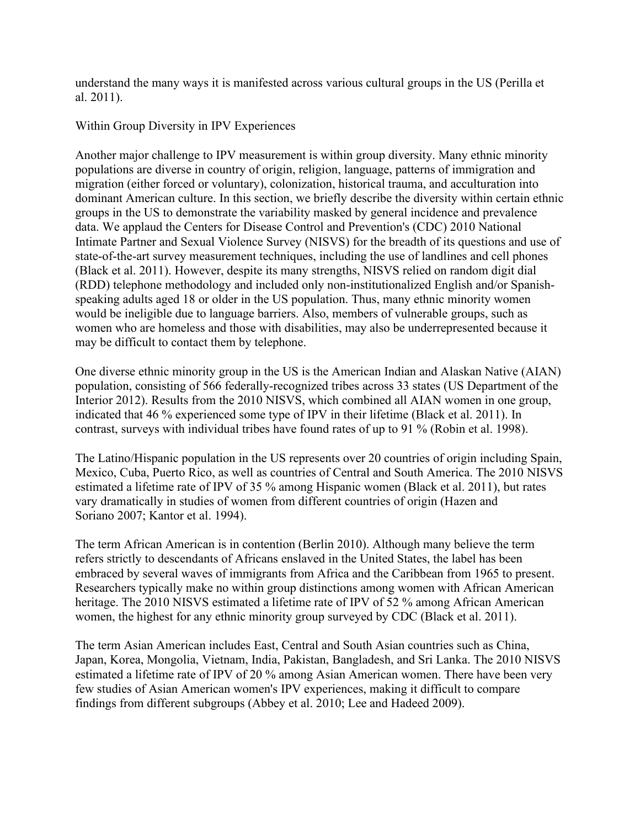understand the many ways it is manifested across various cultural groups in the US (Perilla et al. 2011).

Within Group Diversity in IPV Experiences

Another major challenge to IPV measurement is within group diversity. Many ethnic minority populations are diverse in country of origin, religion, language, patterns of immigration and migration (either forced or voluntary), colonization, historical trauma, and acculturation into dominant American culture. In this section, we briefly describe the diversity within certain ethnic groups in the US to demonstrate the variability masked by general incidence and prevalence data. We applaud the Centers for Disease Control and Prevention's (CDC) 2010 National Intimate Partner and Sexual Violence Survey (NISVS) for the breadth of its questions and use of state-of-the-art survey measurement techniques, including the use of landlines and cell phones (Black et al. 2011). However, despite its many strengths, NISVS relied on random digit dial (RDD) telephone methodology and included only non-institutionalized English and/or Spanishspeaking adults aged 18 or older in the US population. Thus, many ethnic minority women would be ineligible due to language barriers. Also, members of vulnerable groups, such as women who are homeless and those with disabilities, may also be underrepresented because it may be difficult to contact them by telephone.

One diverse ethnic minority group in the US is the American Indian and Alaskan Native (AIAN) population, consisting of 566 federally-recognized tribes across 33 states (US Department of the Interior 2012). Results from the 2010 NISVS, which combined all AIAN women in one group, indicated that 46 % experienced some type of IPV in their lifetime (Black et al. 2011). In contrast, surveys with individual tribes have found rates of up to 91 % (Robin et al. 1998).

The Latino/Hispanic population in the US represents over 20 countries of origin including Spain, Mexico, Cuba, Puerto Rico, as well as countries of Central and South America. The 2010 NISVS estimated a lifetime rate of IPV of 35 % among Hispanic women (Black et al. 2011), but rates vary dramatically in studies of women from different countries of origin (Hazen and Soriano 2007; Kantor et al. 1994).

The term African American is in contention (Berlin 2010). Although many believe the term refers strictly to descendants of Africans enslaved in the United States, the label has been embraced by several waves of immigrants from Africa and the Caribbean from 1965 to present. Researchers typically make no within group distinctions among women with African American heritage. The 2010 NISVS estimated a lifetime rate of IPV of 52 % among African American women, the highest for any ethnic minority group surveyed by CDC (Black et al. 2011).

The term Asian American includes East, Central and South Asian countries such as China, Japan, Korea, Mongolia, Vietnam, India, Pakistan, Bangladesh, and Sri Lanka. The 2010 NISVS estimated a lifetime rate of IPV of 20 % among Asian American women. There have been very few studies of Asian American women's IPV experiences, making it difficult to compare findings from different subgroups (Abbey et al. 2010; Lee and Hadeed 2009).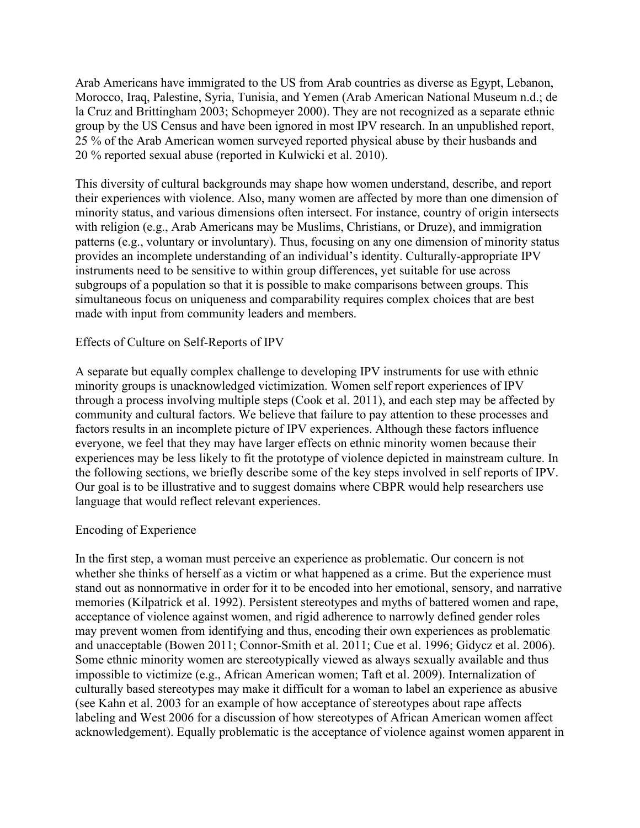Arab Americans have immigrated to the US from Arab countries as diverse as Egypt, Lebanon, Morocco, Iraq, Palestine, Syria, Tunisia, and Yemen (Arab American National Museum n.d.; de la Cruz and Brittingham 2003; Schopmeyer 2000). They are not recognized as a separate ethnic group by the US Census and have been ignored in most IPV research. In an unpublished report, 25 % of the Arab American women surveyed reported physical abuse by their husbands and 20 % reported sexual abuse (reported in Kulwicki et al. 2010).

This diversity of cultural backgrounds may shape how women understand, describe, and report their experiences with violence. Also, many women are affected by more than one dimension of minority status, and various dimensions often intersect. For instance, country of origin intersects with religion (e.g., Arab Americans may be Muslims, Christians, or Druze), and immigration patterns (e.g., voluntary or involuntary). Thus, focusing on any one dimension of minority status provides an incomplete understanding of an individual's identity. Culturally-appropriate IPV instruments need to be sensitive to within group differences, yet suitable for use across subgroups of a population so that it is possible to make comparisons between groups. This simultaneous focus on uniqueness and comparability requires complex choices that are best made with input from community leaders and members.

#### Effects of Culture on Self-Reports of IPV

A separate but equally complex challenge to developing IPV instruments for use with ethnic minority groups is unacknowledged victimization. Women self report experiences of IPV through a process involving multiple steps (Cook et al. 2011), and each step may be affected by community and cultural factors. We believe that failure to pay attention to these processes and factors results in an incomplete picture of IPV experiences. Although these factors influence everyone, we feel that they may have larger effects on ethnic minority women because their experiences may be less likely to fit the prototype of violence depicted in mainstream culture. In the following sections, we briefly describe some of the key steps involved in self reports of IPV. Our goal is to be illustrative and to suggest domains where CBPR would help researchers use language that would reflect relevant experiences.

#### Encoding of Experience

In the first step, a woman must perceive an experience as problematic. Our concern is not whether she thinks of herself as a victim or what happened as a crime. But the experience must stand out as nonnormative in order for it to be encoded into her emotional, sensory, and narrative memories (Kilpatrick et al. 1992). Persistent stereotypes and myths of battered women and rape, acceptance of violence against women, and rigid adherence to narrowly defined gender roles may prevent women from identifying and thus, encoding their own experiences as problematic and unacceptable (Bowen 2011; Connor-Smith et al. 2011; Cue et al. 1996; Gidycz et al. 2006). Some ethnic minority women are stereotypically viewed as always sexually available and thus impossible to victimize (e.g., African American women; Taft et al. 2009). Internalization of culturally based stereotypes may make it difficult for a woman to label an experience as abusive (see Kahn et al. 2003 for an example of how acceptance of stereotypes about rape affects labeling and West 2006 for a discussion of how stereotypes of African American women affect acknowledgement). Equally problematic is the acceptance of violence against women apparent in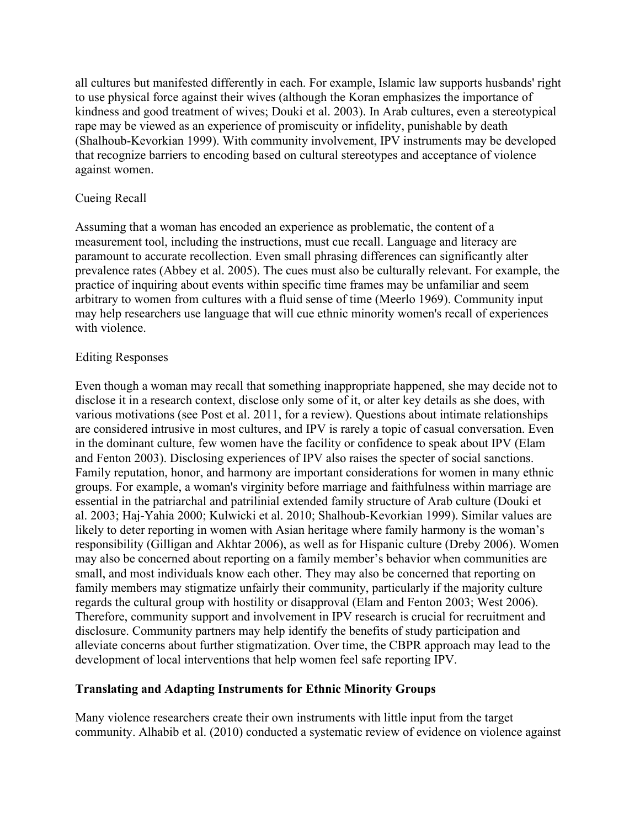all cultures but manifested differently in each. For example, Islamic law supports husbands' right to use physical force against their wives (although the Koran emphasizes the importance of kindness and good treatment of wives; Douki et al. 2003). In Arab cultures, even a stereotypical rape may be viewed as an experience of promiscuity or infidelity, punishable by death (Shalhoub-Kevorkian 1999). With community involvement, IPV instruments may be developed that recognize barriers to encoding based on cultural stereotypes and acceptance of violence against women.

### Cueing Recall

Assuming that a woman has encoded an experience as problematic, the content of a measurement tool, including the instructions, must cue recall. Language and literacy are paramount to accurate recollection. Even small phrasing differences can significantly alter prevalence rates (Abbey et al. 2005). The cues must also be culturally relevant. For example, the practice of inquiring about events within specific time frames may be unfamiliar and seem arbitrary to women from cultures with a fluid sense of time (Meerlo 1969). Community input may help researchers use language that will cue ethnic minority women's recall of experiences with violence.

### Editing Responses

Even though a woman may recall that something inappropriate happened, she may decide not to disclose it in a research context, disclose only some of it, or alter key details as she does, with various motivations (see Post et al. 2011, for a review). Questions about intimate relationships are considered intrusive in most cultures, and IPV is rarely a topic of casual conversation. Even in the dominant culture, few women have the facility or confidence to speak about IPV (Elam and Fenton 2003). Disclosing experiences of IPV also raises the specter of social sanctions. Family reputation, honor, and harmony are important considerations for women in many ethnic groups. For example, a woman's virginity before marriage and faithfulness within marriage are essential in the patriarchal and patrilinial extended family structure of Arab culture (Douki et al. 2003; Haj-Yahia 2000; Kulwicki et al. 2010; Shalhoub-Kevorkian 1999). Similar values are likely to deter reporting in women with Asian heritage where family harmony is the woman's responsibility (Gilligan and Akhtar 2006), as well as for Hispanic culture (Dreby 2006). Women may also be concerned about reporting on a family member's behavior when communities are small, and most individuals know each other. They may also be concerned that reporting on family members may stigmatize unfairly their community, particularly if the majority culture regards the cultural group with hostility or disapproval (Elam and Fenton 2003; West 2006). Therefore, community support and involvement in IPV research is crucial for recruitment and disclosure. Community partners may help identify the benefits of study participation and alleviate concerns about further stigmatization. Over time, the CBPR approach may lead to the development of local interventions that help women feel safe reporting IPV.

# **Translating and Adapting Instruments for Ethnic Minority Groups**

Many violence researchers create their own instruments with little input from the target community. Alhabib et al. (2010) conducted a systematic review of evidence on violence against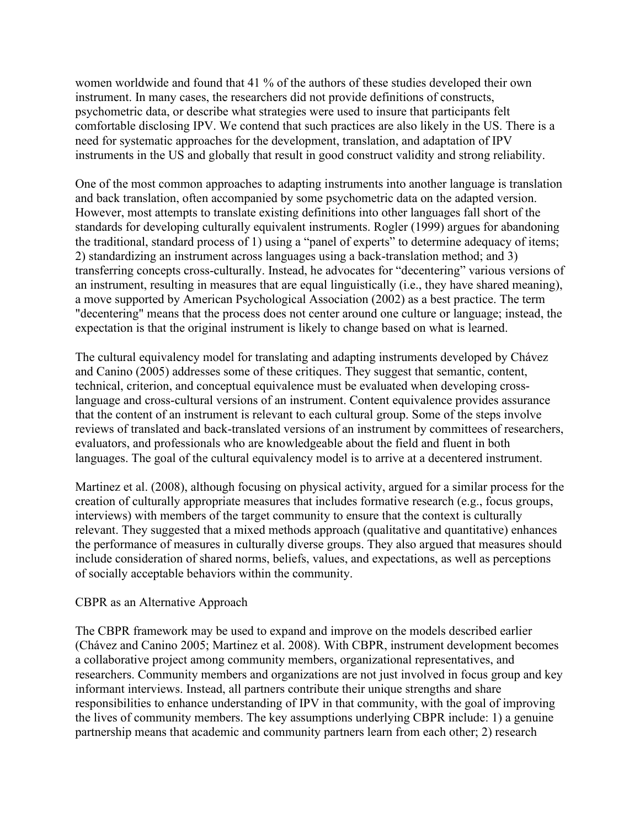women worldwide and found that 41 % of the authors of these studies developed their own instrument. In many cases, the researchers did not provide definitions of constructs, psychometric data, or describe what strategies were used to insure that participants felt comfortable disclosing IPV. We contend that such practices are also likely in the US. There is a need for systematic approaches for the development, translation, and adaptation of IPV instruments in the US and globally that result in good construct validity and strong reliability.

One of the most common approaches to adapting instruments into another language is translation and back translation, often accompanied by some psychometric data on the adapted version. However, most attempts to translate existing definitions into other languages fall short of the standards for developing culturally equivalent instruments. Rogler (1999) argues for abandoning the traditional, standard process of 1) using a "panel of experts" to determine adequacy of items; 2) standardizing an instrument across languages using a back-translation method; and 3) transferring concepts cross-culturally. Instead, he advocates for "decentering" various versions of an instrument, resulting in measures that are equal linguistically (i.e., they have shared meaning), a move supported by American Psychological Association (2002) as a best practice. The term "decentering" means that the process does not center around one culture or language; instead, the expectation is that the original instrument is likely to change based on what is learned.

The cultural equivalency model for translating and adapting instruments developed by Chávez and Canino (2005) addresses some of these critiques. They suggest that semantic, content, technical, criterion, and conceptual equivalence must be evaluated when developing crosslanguage and cross-cultural versions of an instrument. Content equivalence provides assurance that the content of an instrument is relevant to each cultural group. Some of the steps involve reviews of translated and back-translated versions of an instrument by committees of researchers, evaluators, and professionals who are knowledgeable about the field and fluent in both languages. The goal of the cultural equivalency model is to arrive at a decentered instrument.

Martinez et al. (2008), although focusing on physical activity, argued for a similar process for the creation of culturally appropriate measures that includes formative research (e.g., focus groups, interviews) with members of the target community to ensure that the context is culturally relevant. They suggested that a mixed methods approach (qualitative and quantitative) enhances the performance of measures in culturally diverse groups. They also argued that measures should include consideration of shared norms, beliefs, values, and expectations, as well as perceptions of socially acceptable behaviors within the community.

### CBPR as an Alternative Approach

The CBPR framework may be used to expand and improve on the models described earlier (Chávez and Canino 2005; Martinez et al. 2008). With CBPR, instrument development becomes a collaborative project among community members, organizational representatives, and researchers. Community members and organizations are not just involved in focus group and key informant interviews. Instead, all partners contribute their unique strengths and share responsibilities to enhance understanding of IPV in that community, with the goal of improving the lives of community members. The key assumptions underlying CBPR include: 1) a genuine partnership means that academic and community partners learn from each other; 2) research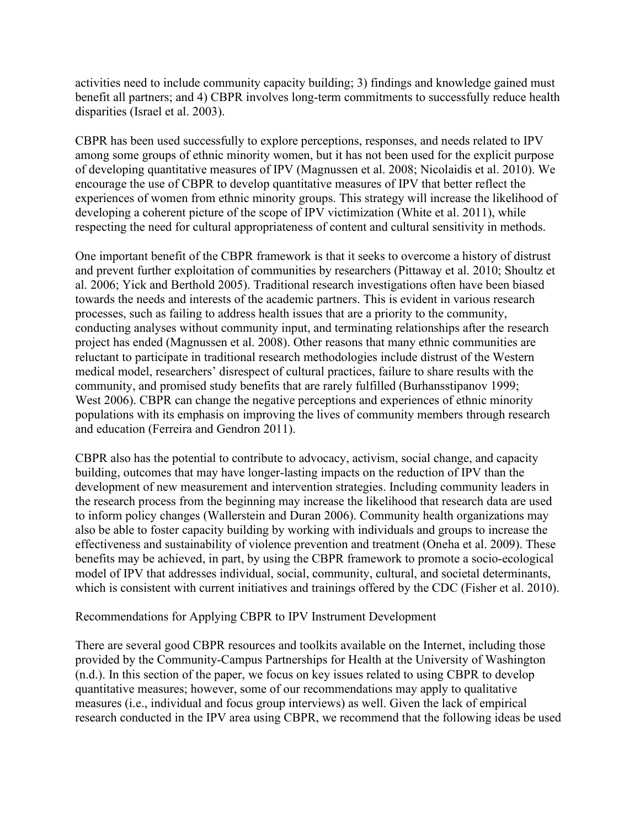activities need to include community capacity building; 3) findings and knowledge gained must benefit all partners; and 4) CBPR involves long-term commitments to successfully reduce health disparities (Israel et al. 2003).

CBPR has been used successfully to explore perceptions, responses, and needs related to IPV among some groups of ethnic minority women, but it has not been used for the explicit purpose of developing quantitative measures of IPV (Magnussen et al. 2008; Nicolaidis et al. 2010). We encourage the use of CBPR to develop quantitative measures of IPV that better reflect the experiences of women from ethnic minority groups. This strategy will increase the likelihood of developing a coherent picture of the scope of IPV victimization (White et al. 2011), while respecting the need for cultural appropriateness of content and cultural sensitivity in methods.

One important benefit of the CBPR framework is that it seeks to overcome a history of distrust and prevent further exploitation of communities by researchers (Pittaway et al. 2010; Shoultz et al. 2006; Yick and Berthold 2005). Traditional research investigations often have been biased towards the needs and interests of the academic partners. This is evident in various research processes, such as failing to address health issues that are a priority to the community, conducting analyses without community input, and terminating relationships after the research project has ended (Magnussen et al. 2008). Other reasons that many ethnic communities are reluctant to participate in traditional research methodologies include distrust of the Western medical model, researchers' disrespect of cultural practices, failure to share results with the community, and promised study benefits that are rarely fulfilled (Burhansstipanov 1999; West 2006). CBPR can change the negative perceptions and experiences of ethnic minority populations with its emphasis on improving the lives of community members through research and education (Ferreira and Gendron 2011).

CBPR also has the potential to contribute to advocacy, activism, social change, and capacity building, outcomes that may have longer-lasting impacts on the reduction of IPV than the development of new measurement and intervention strategies. Including community leaders in the research process from the beginning may increase the likelihood that research data are used to inform policy changes (Wallerstein and Duran 2006). Community health organizations may also be able to foster capacity building by working with individuals and groups to increase the effectiveness and sustainability of violence prevention and treatment (Oneha et al. 2009). These benefits may be achieved, in part, by using the CBPR framework to promote a socio-ecological model of IPV that addresses individual, social, community, cultural, and societal determinants, which is consistent with current initiatives and trainings offered by the CDC (Fisher et al. 2010).

### Recommendations for Applying CBPR to IPV Instrument Development

There are several good CBPR resources and toolkits available on the Internet, including those provided by the Community-Campus Partnerships for Health at the University of Washington (n.d.). In this section of the paper, we focus on key issues related to using CBPR to develop quantitative measures; however, some of our recommendations may apply to qualitative measures (i.e., individual and focus group interviews) as well. Given the lack of empirical research conducted in the IPV area using CBPR, we recommend that the following ideas be used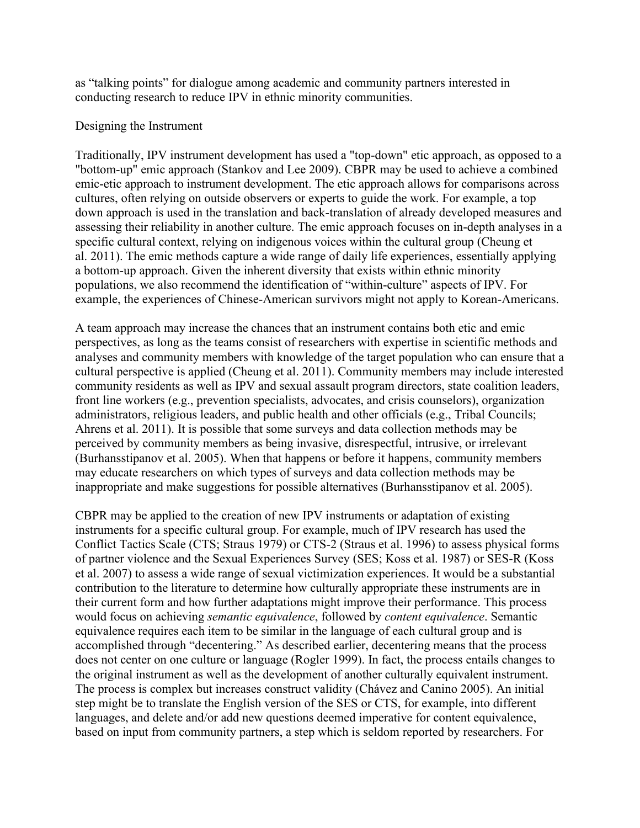as "talking points" for dialogue among academic and community partners interested in conducting research to reduce IPV in ethnic minority communities.

### Designing the Instrument

Traditionally, IPV instrument development has used a "top-down" etic approach, as opposed to a "bottom-up" emic approach (Stankov and Lee 2009). CBPR may be used to achieve a combined emic-etic approach to instrument development. The etic approach allows for comparisons across cultures, often relying on outside observers or experts to guide the work. For example, a top down approach is used in the translation and back-translation of already developed measures and assessing their reliability in another culture. The emic approach focuses on in-depth analyses in a specific cultural context, relying on indigenous voices within the cultural group (Cheung et al. 2011). The emic methods capture a wide range of daily life experiences, essentially applying a bottom-up approach. Given the inherent diversity that exists within ethnic minority populations, we also recommend the identification of "within-culture" aspects of IPV. For example, the experiences of Chinese-American survivors might not apply to Korean-Americans.

A team approach may increase the chances that an instrument contains both etic and emic perspectives, as long as the teams consist of researchers with expertise in scientific methods and analyses and community members with knowledge of the target population who can ensure that a cultural perspective is applied (Cheung et al. 2011). Community members may include interested community residents as well as IPV and sexual assault program directors, state coalition leaders, front line workers (e.g., prevention specialists, advocates, and crisis counselors), organization administrators, religious leaders, and public health and other officials (e.g., Tribal Councils; Ahrens et al. 2011). It is possible that some surveys and data collection methods may be perceived by community members as being invasive, disrespectful, intrusive, or irrelevant (Burhansstipanov et al. 2005). When that happens or before it happens, community members may educate researchers on which types of surveys and data collection methods may be inappropriate and make suggestions for possible alternatives (Burhansstipanov et al. 2005).

CBPR may be applied to the creation of new IPV instruments or adaptation of existing instruments for a specific cultural group. For example, much of IPV research has used the Conflict Tactics Scale (CTS; Straus 1979) or CTS-2 (Straus et al. 1996) to assess physical forms of partner violence and the Sexual Experiences Survey (SES; Koss et al. 1987) or SES-R (Koss et al. 2007) to assess a wide range of sexual victimization experiences. It would be a substantial contribution to the literature to determine how culturally appropriate these instruments are in their current form and how further adaptations might improve their performance. This process would focus on achieving *semantic equivalence*, followed by *content equivalence*. Semantic equivalence requires each item to be similar in the language of each cultural group and is accomplished through "decentering." As described earlier, decentering means that the process does not center on one culture or language (Rogler 1999). In fact, the process entails changes to the original instrument as well as the development of another culturally equivalent instrument. The process is complex but increases construct validity (Chávez and Canino 2005). An initial step might be to translate the English version of the SES or CTS, for example, into different languages, and delete and/or add new questions deemed imperative for content equivalence, based on input from community partners, a step which is seldom reported by researchers. For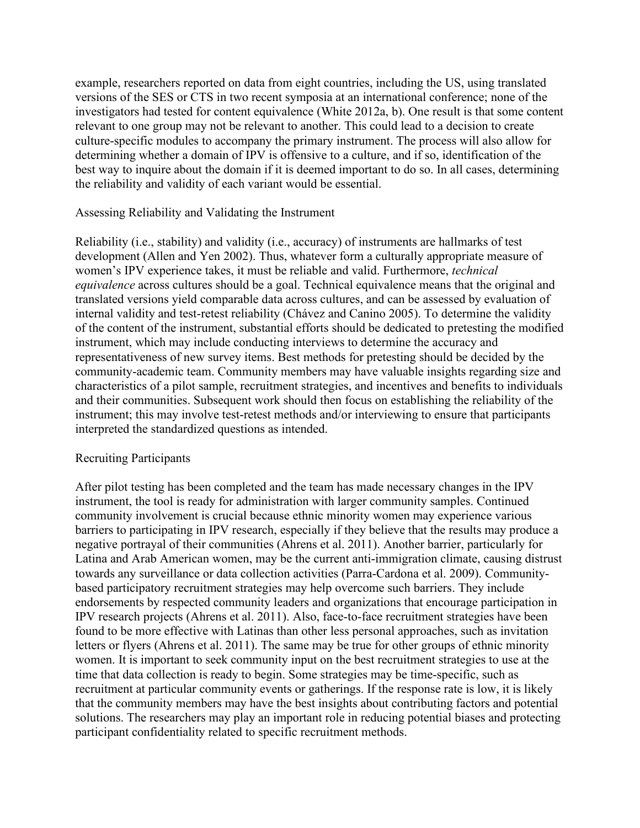example, researchers reported on data from eight countries, including the US, using translated versions of the SES or CTS in two recent symposia at an international conference; none of the investigators had tested for content equivalence (White 2012a, b). One result is that some content relevant to one group may not be relevant to another. This could lead to a decision to create culture-specific modules to accompany the primary instrument. The process will also allow for determining whether a domain of IPV is offensive to a culture, and if so, identification of the best way to inquire about the domain if it is deemed important to do so. In all cases, determining the reliability and validity of each variant would be essential.

### Assessing Reliability and Validating the Instrument

Reliability (i.e., stability) and validity (i.e., accuracy) of instruments are hallmarks of test development (Allen and Yen 2002). Thus, whatever form a culturally appropriate measure of women's IPV experience takes, it must be reliable and valid. Furthermore, *technical equivalence* across cultures should be a goal. Technical equivalence means that the original and translated versions yield comparable data across cultures, and can be assessed by evaluation of internal validity and test-retest reliability (Chávez and Canino 2005). To determine the validity of the content of the instrument, substantial efforts should be dedicated to pretesting the modified instrument, which may include conducting interviews to determine the accuracy and representativeness of new survey items. Best methods for pretesting should be decided by the community-academic team. Community members may have valuable insights regarding size and characteristics of a pilot sample, recruitment strategies, and incentives and benefits to individuals and their communities. Subsequent work should then focus on establishing the reliability of the instrument; this may involve test-retest methods and/or interviewing to ensure that participants interpreted the standardized questions as intended.

#### Recruiting Participants

After pilot testing has been completed and the team has made necessary changes in the IPV instrument, the tool is ready for administration with larger community samples. Continued community involvement is crucial because ethnic minority women may experience various barriers to participating in IPV research, especially if they believe that the results may produce a negative portrayal of their communities (Ahrens et al. 2011). Another barrier, particularly for Latina and Arab American women, may be the current anti-immigration climate, causing distrust towards any surveillance or data collection activities (Parra-Cardona et al. 2009). Communitybased participatory recruitment strategies may help overcome such barriers. They include endorsements by respected community leaders and organizations that encourage participation in IPV research projects (Ahrens et al. 2011). Also, face-to-face recruitment strategies have been found to be more effective with Latinas than other less personal approaches, such as invitation letters or flyers (Ahrens et al. 2011). The same may be true for other groups of ethnic minority women. It is important to seek community input on the best recruitment strategies to use at the time that data collection is ready to begin. Some strategies may be time-specific, such as recruitment at particular community events or gatherings. If the response rate is low, it is likely that the community members may have the best insights about contributing factors and potential solutions. The researchers may play an important role in reducing potential biases and protecting participant confidentiality related to specific recruitment methods.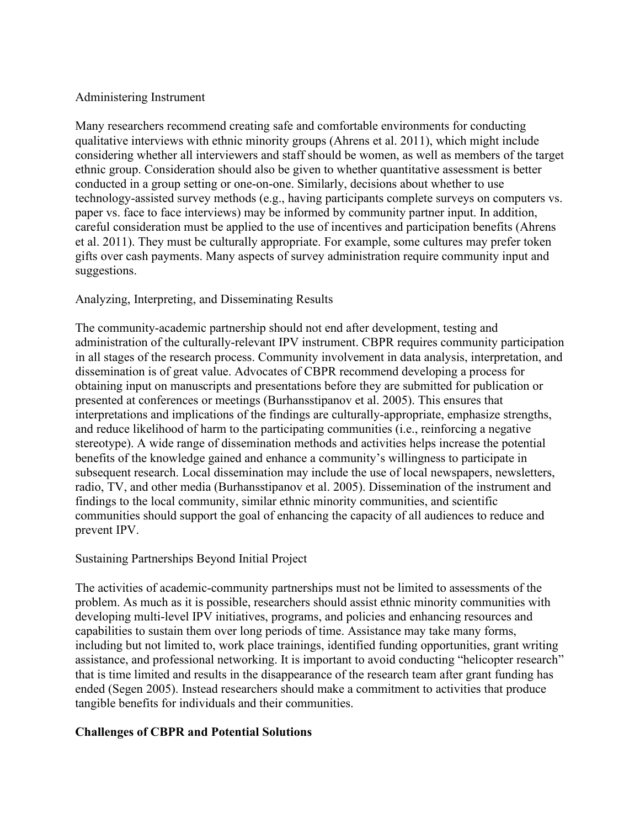### Administering Instrument

Many researchers recommend creating safe and comfortable environments for conducting qualitative interviews with ethnic minority groups (Ahrens et al. 2011), which might include considering whether all interviewers and staff should be women, as well as members of the target ethnic group. Consideration should also be given to whether quantitative assessment is better conducted in a group setting or one-on-one. Similarly, decisions about whether to use technology-assisted survey methods (e.g., having participants complete surveys on computers vs. paper vs. face to face interviews) may be informed by community partner input. In addition, careful consideration must be applied to the use of incentives and participation benefits (Ahrens et al. 2011). They must be culturally appropriate. For example, some cultures may prefer token gifts over cash payments. Many aspects of survey administration require community input and suggestions.

### Analyzing, Interpreting, and Disseminating Results

The community-academic partnership should not end after development, testing and administration of the culturally-relevant IPV instrument. CBPR requires community participation in all stages of the research process. Community involvement in data analysis, interpretation, and dissemination is of great value. Advocates of CBPR recommend developing a process for obtaining input on manuscripts and presentations before they are submitted for publication or presented at conferences or meetings (Burhansstipanov et al. 2005). This ensures that interpretations and implications of the findings are culturally-appropriate, emphasize strengths, and reduce likelihood of harm to the participating communities (i.e., reinforcing a negative stereotype). A wide range of dissemination methods and activities helps increase the potential benefits of the knowledge gained and enhance a community's willingness to participate in subsequent research. Local dissemination may include the use of local newspapers, newsletters, radio, TV, and other media (Burhansstipanov et al. 2005). Dissemination of the instrument and findings to the local community, similar ethnic minority communities, and scientific communities should support the goal of enhancing the capacity of all audiences to reduce and prevent IPV.

# Sustaining Partnerships Beyond Initial Project

The activities of academic-community partnerships must not be limited to assessments of the problem. As much as it is possible, researchers should assist ethnic minority communities with developing multi-level IPV initiatives, programs, and policies and enhancing resources and capabilities to sustain them over long periods of time. Assistance may take many forms, including but not limited to, work place trainings, identified funding opportunities, grant writing assistance, and professional networking. It is important to avoid conducting "helicopter research" that is time limited and results in the disappearance of the research team after grant funding has ended (Segen 2005). Instead researchers should make a commitment to activities that produce tangible benefits for individuals and their communities.

# **Challenges of CBPR and Potential Solutions**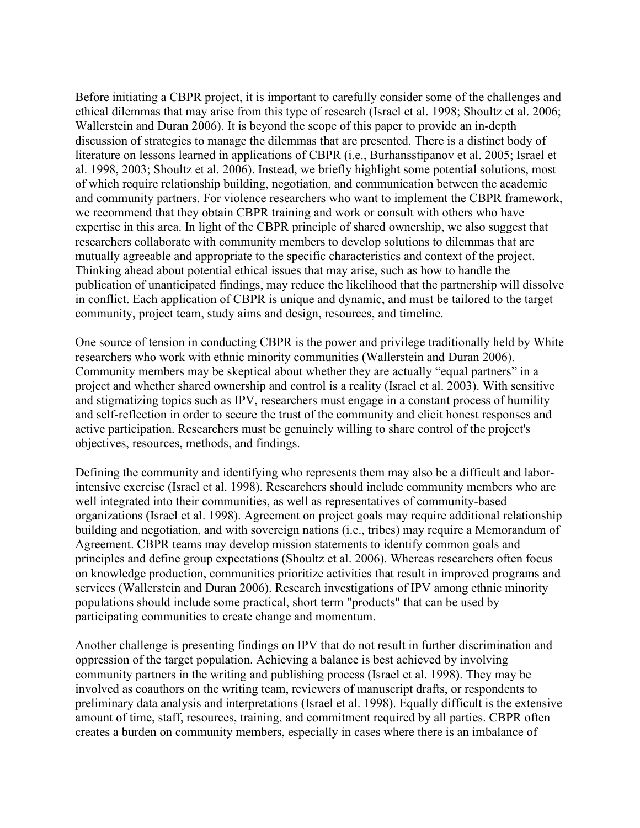Before initiating a CBPR project, it is important to carefully consider some of the challenges and ethical dilemmas that may arise from this type of research (Israel et al. 1998; Shoultz et al. 2006; Wallerstein and Duran 2006). It is beyond the scope of this paper to provide an in-depth discussion of strategies to manage the dilemmas that are presented. There is a distinct body of literature on lessons learned in applications of CBPR (i.e., Burhansstipanov et al. 2005; Israel et al. 1998, 2003; Shoultz et al. 2006). Instead, we briefly highlight some potential solutions, most of which require relationship building, negotiation, and communication between the academic and community partners. For violence researchers who want to implement the CBPR framework, we recommend that they obtain CBPR training and work or consult with others who have expertise in this area. In light of the CBPR principle of shared ownership, we also suggest that researchers collaborate with community members to develop solutions to dilemmas that are mutually agreeable and appropriate to the specific characteristics and context of the project. Thinking ahead about potential ethical issues that may arise, such as how to handle the publication of unanticipated findings, may reduce the likelihood that the partnership will dissolve in conflict. Each application of CBPR is unique and dynamic, and must be tailored to the target community, project team, study aims and design, resources, and timeline.

One source of tension in conducting CBPR is the power and privilege traditionally held by White researchers who work with ethnic minority communities (Wallerstein and Duran 2006). Community members may be skeptical about whether they are actually "equal partners" in a project and whether shared ownership and control is a reality (Israel et al. 2003). With sensitive and stigmatizing topics such as IPV, researchers must engage in a constant process of humility and self-reflection in order to secure the trust of the community and elicit honest responses and active participation. Researchers must be genuinely willing to share control of the project's objectives, resources, methods, and findings.

Defining the community and identifying who represents them may also be a difficult and laborintensive exercise (Israel et al. 1998). Researchers should include community members who are well integrated into their communities, as well as representatives of community-based organizations (Israel et al. 1998). Agreement on project goals may require additional relationship building and negotiation, and with sovereign nations (i.e., tribes) may require a Memorandum of Agreement. CBPR teams may develop mission statements to identify common goals and principles and define group expectations (Shoultz et al. 2006). Whereas researchers often focus on knowledge production, communities prioritize activities that result in improved programs and services (Wallerstein and Duran 2006). Research investigations of IPV among ethnic minority populations should include some practical, short term "products" that can be used by participating communities to create change and momentum.

Another challenge is presenting findings on IPV that do not result in further discrimination and oppression of the target population. Achieving a balance is best achieved by involving community partners in the writing and publishing process (Israel et al. 1998). They may be involved as coauthors on the writing team, reviewers of manuscript drafts, or respondents to preliminary data analysis and interpretations (Israel et al. 1998). Equally difficult is the extensive amount of time, staff, resources, training, and commitment required by all parties. CBPR often creates a burden on community members, especially in cases where there is an imbalance of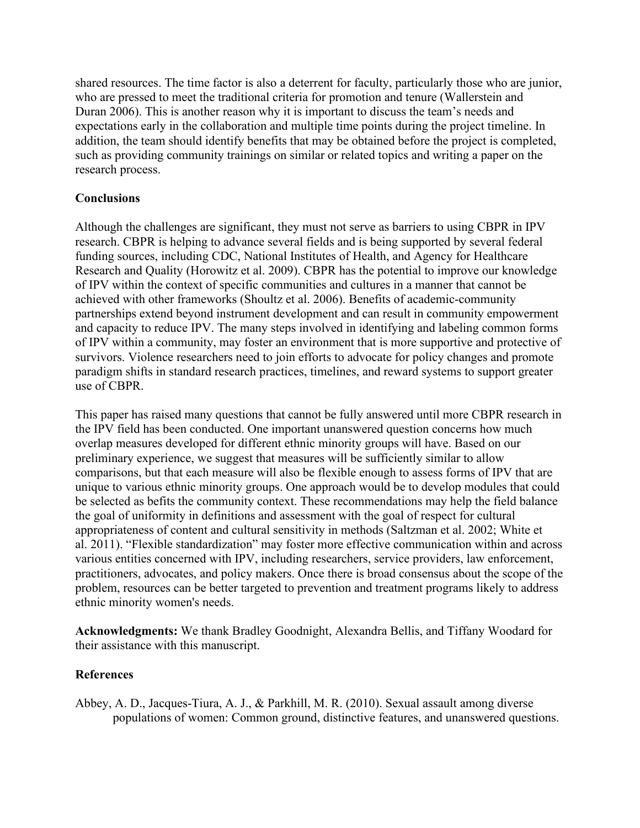shared resources. The time factor is also a deterrent for faculty, particularly those who are junior, who are pressed to meet the traditional criteria for promotion and tenure (Wallerstein and Duran 2006). This is another reason why it is important to discuss the team's needs and expectations early in the collaboration and multiple time points during the project timeline. In addition, the team should identify benefits that may be obtained before the project is completed, such as providing community trainings on similar or related topics and writing a paper on the research process.

# **Conclusions**

Although the challenges are significant, they must not serve as barriers to using CBPR in IPV research. CBPR is helping to advance several fields and is being supported by several federal funding sources, including CDC, National Institutes of Health, and Agency for Healthcare Research and Quality (Horowitz et al. 2009). CBPR has the potential to improve our knowledge of IPV within the context of specific communities and cultures in a manner that cannot be achieved with other frameworks (Shoultz et al. 2006). Benefits of academic-community partnerships extend beyond instrument development and can result in community empowerment and capacity to reduce IPV. The many steps involved in identifying and labeling common forms of IPV within a community, may foster an environment that is more supportive and protective of survivors. Violence researchers need to join efforts to advocate for policy changes and promote paradigm shifts in standard research practices, timelines, and reward systems to support greater use of CBPR.

This paper has raised many questions that cannot be fully answered until more CBPR research in the IPV field has been conducted. One important unanswered question concerns how much overlap measures developed for different ethnic minority groups will have. Based on our preliminary experience, we suggest that measures will be sufficiently similar to allow comparisons, but that each measure will also be flexible enough to assess forms of IPV that are unique to various ethnic minority groups. One approach would be to develop modules that could be selected as befits the community context. These recommendations may help the field balance the goal of uniformity in definitions and assessment with the goal of respect for cultural appropriateness of content and cultural sensitivity in methods (Saltzman et al. 2002; White et al. 2011). "Flexible standardization" may foster more effective communication within and across various entities concerned with IPV, including researchers, service providers, law enforcement, practitioners, advocates, and policy makers. Once there is broad consensus about the scope of the problem, resources can be better targeted to prevention and treatment programs likely to address ethnic minority women's needs.

**Acknowledgments:** We thank Bradley Goodnight, Alexandra Bellis, and Tiffany Woodard for their assistance with this manuscript.

# **References**

Abbey, A. D., Jacques-Tiura, A. J., & Parkhill, M. R. (2010). Sexual assault among diverse populations of women: Common ground, distinctive features, and unanswered questions.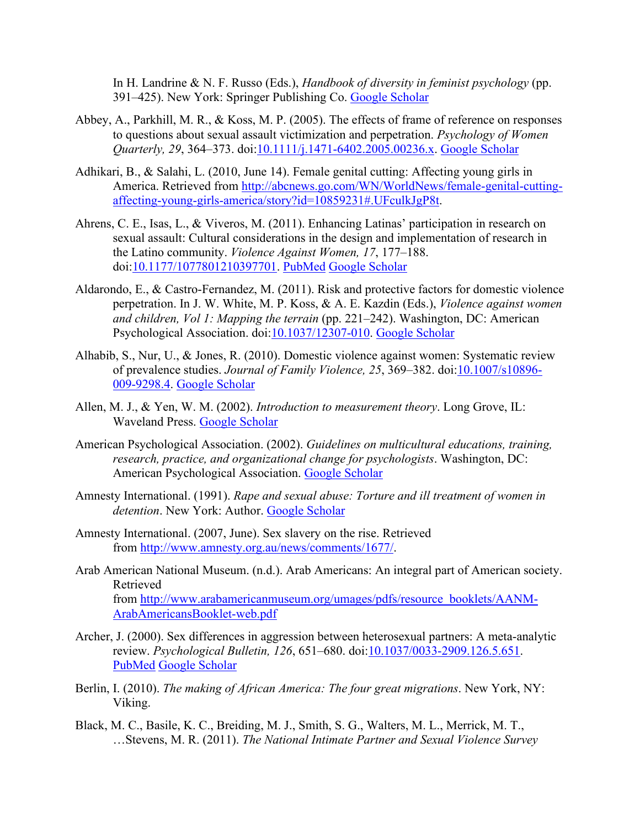In H. Landrine & N. F. Russo (Eds.), *Handbook of diversity in feminist psychology* (pp. 391–425). New York: Springer Publishing Co. [Google Scholar](http://scholar.google.com/scholar_lookup?&title=Handbook%20of%20diversity%20in%20feminist%20psychology&pages=391-425&publication_year=2010&author=Abbey%2CAD&author=Jacques-Tiura%2CAJ&author=Parkhill%2CMR)

- Abbey, A., Parkhill, M. R., & Koss, M. P. (2005). The effects of frame of reference on responses to questions about sexual assault victimization and perpetration. *Psychology of Women Quarterly, 29*, 364–373. doi[:10.1111/j.1471-6402.2005.00236.x.](https://doi.org/10.1111/j.1471-6402.2005.00236.x) [Google Scholar](http://scholar.google.com/scholar_lookup?&title=The%20effects%20of%20frame%20of%20reference%20on%20responses%20to%20questions%20about%20sexual%20assault%20victimization%20and%20perpetration&journal=Psychology%20of%20Women%20Quarterly&doi=10.1111%2Fj.1471-6402.2005.00236.x&volume=29&pages=364-373&publication_year=2005&author=Abbey%2CA&author=Parkhill%2CMR&author=Koss%2CMP)
- Adhikari, B., & Salahi, L. (2010, June 14). Female genital cutting: Affecting young girls in America. Retrieved from [http://abcnews.go.com/WN/WorldNews/female-genital-cutting](http://abcnews.go.com/WN/WorldNews/female-genital-cutting-affecting-young-girls-america/story?id=10859231#.UFculkJgP8t)[affecting-young-girls-america/story?id=10859231#.UFculkJgP8t.](http://abcnews.go.com/WN/WorldNews/female-genital-cutting-affecting-young-girls-america/story?id=10859231#.UFculkJgP8t)
- Ahrens, C. E., Isas, L., & Viveros, M. (2011). Enhancing Latinas' participation in research on sexual assault: Cultural considerations in the design and implementation of research in the Latino community. *Violence Against Women, 17*, 177–188. doi[:10.1177/1077801210397701.](https://doi.org/10.1177/1077801210397701) [PubMed](http://www.ncbi.nlm.nih.gov/entrez/query.fcgi?cmd=Retrieve&db=PubMed&dopt=Abstract&list_uids=21307028) [Google Scholar](http://scholar.google.com/scholar_lookup?&title=Enhancing%20Latinas%E2%80%99%20participation%20in%20research%20on%20sexual%20assault%3A%20Cultural%20considerations%20in%20the%20design%20and%20implementation%20of%20research%20in%20the%20Latino%20community&journal=Violence%20Against%20Women&doi=10.1177%2F1077801210397701&volume=17&pages=177-188&publication_year=2011&author=Ahrens%2CCE&author=Isas%2CL&author=Viveros%2CM)
- Aldarondo, E., & Castro-Fernandez, M. (2011). Risk and protective factors for domestic violence perpetration. In J. W. White, M. P. Koss, & A. E. Kazdin (Eds.), *Violence against women and children, Vol 1: Mapping the terrain* (pp. 221–242). Washington, DC: American Psychological Association. doi[:10.1037/12307-010.](https://doi.org/10.1037/12307-010) [Google Scholar](http://scholar.google.com/scholar_lookup?&title=Violence%20against%20women%20and%20children%2C%20Vol%201%3A%20Mapping%20the%20terrain&pages=221-242&publication_year=2011&author=Aldarondo%2CE&author=Castro-Fernandez%2CM)
- Alhabib, S., Nur, U., & Jones, R. (2010). Domestic violence against women: Systematic review of prevalence studies. *Journal of Family Violence, 25*, 369–382. doi[:10.1007/s10896-](https://doi.org/10.1007/s10896-009-9298.4) [009-9298.4.](https://doi.org/10.1007/s10896-009-9298.4) [Google Scholar](http://scholar.google.com/scholar_lookup?&title=Domestic%20violence%20against%20women%3A%20Systematic%20review%20of%20prevalence%20studies&journal=Journal%20of%20Family%20Violence&doi=10.1007%2Fs10896-009-9298.4&volume=25&pages=369-382&publication_year=2010&author=Alhabib%2CS&author=Nur%2CU&author=Jones%2CR)
- Allen, M. J., & Yen, W. M. (2002). *Introduction to measurement theory*. Long Grove, IL: Waveland Press. [Google Scholar](http://scholar.google.com/scholar_lookup?&title=Introduction%20to%20measurement%20theory&publication_year=2002&author=Allen%2CMJ&author=Yen%2CWM)
- American Psychological Association. (2002). *Guidelines on multicultural educations, training, research, practice, and organizational change for psychologists*. Washington, DC: American Psychological Association. [Google Scholar](http://scholar.google.com/scholar_lookup?&title=Guidelines%20on%20multicultural%20educations%2C%20training%2C%20research%2C%20practice%2C%20and%20organizational%20change%20for%20psychologists&publication_year=2002)
- Amnesty International. (1991). *Rape and sexual abuse: Torture and ill treatment of women in detention*. New York: Author. [Google Scholar](http://scholar.google.com/scholar_lookup?&title=Rape%20and%20sexual%20abuse%3A%20Torture%20and%20ill%20treatment%20of%20women%20in%20detention&publication_year=1991)
- Amnesty International. (2007, June). Sex slavery on the rise. Retrieved from [http://www.amnesty.org.au/news/comments/1677/.](http://www.amnesty.org.au/news/comments/1677/)
- Arab American National Museum. (n.d.). Arab Americans: An integral part of American society. Retrieved from [http://www.arabamericanmuseum.org/umages/pdfs/resource\\_booklets/AANM-](http://www.arabamericanmuseum.org/umages/pdfs/resource_booklets/AANM-ArabAmericansBooklet-web.pdf)[ArabAmericansBooklet-web.pdf](http://www.arabamericanmuseum.org/umages/pdfs/resource_booklets/AANM-ArabAmericansBooklet-web.pdf)
- Archer, J. (2000). Sex differences in aggression between heterosexual partners: A meta-analytic review. *Psychological Bulletin, 126*, 651–680. doi[:10.1037/0033-2909.126.5.651.](https://doi.org/10.1037/0033-2909.126.5.651) [PubMed](http://www.ncbi.nlm.nih.gov/entrez/query.fcgi?cmd=Retrieve&db=PubMed&dopt=Abstract&list_uids=10989615) [Google Scholar](http://scholar.google.com/scholar_lookup?&title=Sex%20differences%20in%20aggression%20between%20heterosexual%20partners%3A%20A%20meta-analytic%20review&journal=Psychological%20Bulletin&doi=10.1037%2F0033-2909.126.5.651&volume=126&pages=651-680&publication_year=2000&author=Archer%2CJ)
- Berlin, I. (2010). *The making of African America: The four great migrations*. New York, NY: Viking.
- Black, M. C., Basile, K. C., Breiding, M. J., Smith, S. G., Walters, M. L., Merrick, M. T., …Stevens, M. R. (2011). *The National Intimate Partner and Sexual Violence Survey*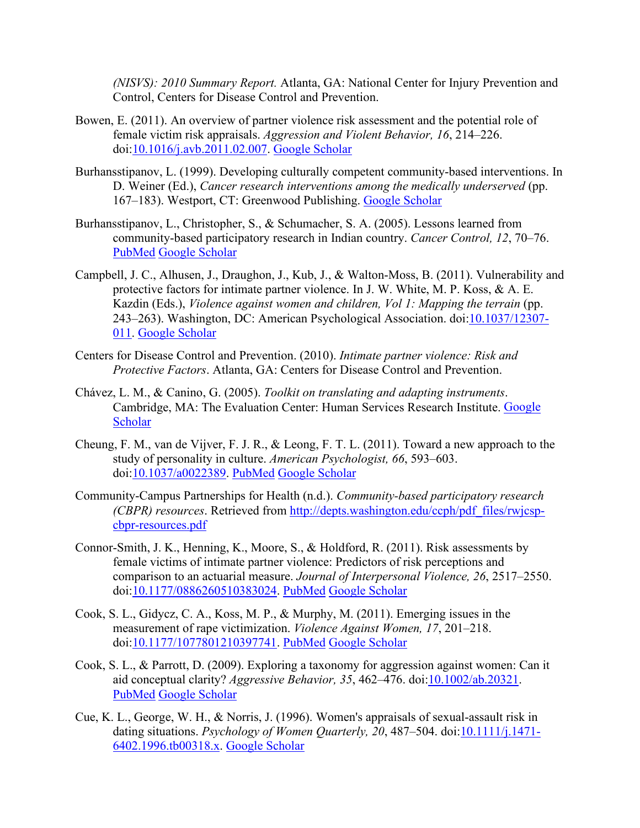*(NISVS): 2010 Summary Report.* Atlanta, GA: National Center for Injury Prevention and Control, Centers for Disease Control and Prevention.

- Bowen, E. (2011). An overview of partner violence risk assessment and the potential role of female victim risk appraisals. *Aggression and Violent Behavior, 16*, 214–226. doi[:10.1016/j.avb.2011.02.007.](https://doi.org/10.1016/j.avb.2011.02.007) [Google Scholar](http://scholar.google.com/scholar_lookup?&title=An%20overview%20of%20partner%20violence%20risk%20assessment%20and%20the%20potential%20role%20of%20female%20victim%20risk%20appraisals&journal=Aggression%20and%20Violent%20Behavior&doi=10.1016%2Fj.avb.2011.02.007&volume=16&pages=214-226&publication_year=2011&author=Bowen%2CE)
- Burhansstipanov, L. (1999). Developing culturally competent community-based interventions. In D. Weiner (Ed.), *Cancer research interventions among the medically underserved* (pp. 167–183). Westport, CT: Greenwood Publishing. [Google Scholar](http://scholar.google.com/scholar_lookup?&title=Cancer%20research%20interventions%20among%20the%20medically%20underserved&pages=167-183&publication_year=1999&author=Burhansstipanov%2CL)
- Burhansstipanov, L., Christopher, S., & Schumacher, S. A. (2005). Lessons learned from community-based participatory research in Indian country. *Cancer Control, 12*, 70–76. [PubMed](http://www.ncbi.nlm.nih.gov/entrez/query.fcgi?cmd=Retrieve&db=PubMed&dopt=Abstract&list_uids=16327753) [Google Scholar](http://scholar.google.com/scholar_lookup?&title=Lessons%20learned%20from%20community-based%20participatory%20research%20in%20Indian%20country&journal=Cancer%20Control&volume=12&pages=70-76&publication_year=2005&author=Burhansstipanov%2CL&author=Christopher%2CS&author=Schumacher%2CSA)
- Campbell, J. C., Alhusen, J., Draughon, J., Kub, J., & Walton-Moss, B. (2011). Vulnerability and protective factors for intimate partner violence. In J. W. White, M. P. Koss, & A. E. Kazdin (Eds.), *Violence against women and children, Vol 1: Mapping the terrain* (pp. 243–263). Washington, DC: American Psychological Association. doi[:10.1037/12307-](https://doi.org/10.1037/12307-011) [011.](https://doi.org/10.1037/12307-011) [Google Scholar](http://scholar.google.com/scholar_lookup?&title=Violence%20against%20women%20and%20children%2C%20Vol%201%3A%20Mapping%20the%20terrain&pages=243-263&publication_year=2011&author=Campbell%2CJC&author=Alhusen%2CJ&author=Draughon%2CJ&author=Kub%2CJ&author=Walton-Moss%2CB)
- Centers for Disease Control and Prevention. (2010). *Intimate partner violence: Risk and Protective Factors*. Atlanta, GA: Centers for Disease Control and Prevention.
- Chávez, L. M., & Canino, G. (2005). *Toolkit on translating and adapting instruments*. Cambridge, MA: The Evaluation Center: Human Services Research Institute. [Google](http://scholar.google.com/scholar_lookup?&title=Toolkit%20on%20translating%20and%20adapting%20instruments&publication_year=2005&author=Ch%C3%A1vez%2CLM&author=Canino%2CG)  **[Scholar](http://scholar.google.com/scholar_lookup?&title=Toolkit%20on%20translating%20and%20adapting%20instruments&publication_year=2005&author=Ch%C3%A1vez%2CLM&author=Canino%2CG)**
- Cheung, F. M., van de Vijver, F. J. R., & Leong, F. T. L. (2011). Toward a new approach to the study of personality in culture. *American Psychologist, 66*, 593–603. doi[:10.1037/a0022389.](https://doi.org/10.1037/a0022389) [PubMed](http://www.ncbi.nlm.nih.gov/entrez/query.fcgi?cmd=Retrieve&db=PubMed&dopt=Abstract&list_uids=21261408) [Google Scholar](http://scholar.google.com/scholar_lookup?&title=Toward%20a%20new%20approach%20to%20the%20study%20of%20personality%20in%20culture&journal=American%20Psychologist&doi=10.1037%2Fa0022389&volume=66&pages=593-603&publication_year=2011&author=Cheung%2CFM&author=Vijver%2CFJR&author=Leong%2CFTL)
- Community-Campus Partnerships for Health (n.d.). *Community-based participatory research (CBPR) resources*. Retrieved from [http://depts.washington.edu/ccph/pdf\\_files/rwjcsp](http://depts.washington.edu/ccph/pdf_files/rwjcsp-cbpr-resources.pdf)[cbpr-resources.pdf](http://depts.washington.edu/ccph/pdf_files/rwjcsp-cbpr-resources.pdf)
- Connor-Smith, J. K., Henning, K., Moore, S., & Holdford, R. (2011). Risk assessments by female victims of intimate partner violence: Predictors of risk perceptions and comparison to an actuarial measure. *Journal of Interpersonal Violence, 26*, 2517–2550. doi[:10.1177/0886260510383024.](https://doi.org/10.1177/0886260510383024) [PubMed](http://www.ncbi.nlm.nih.gov/entrez/query.fcgi?cmd=Retrieve&db=PubMed&dopt=Abstract&list_uids=20841332) [Google Scholar](http://scholar.google.com/scholar_lookup?&title=Risk%20assessments%20by%20female%20victims%20of%20intimate%20partner%20violence%3A%20Predictors%20of%20risk%20perceptions%20and%20comparison%20to%20an%20actuarial%20measure&journal=Journal%20of%20Interpersonal%20Violence&doi=10.1177%2F0886260510383024&volume=26&pages=2517-2550&publication_year=2011&author=Connor-Smith%2CJK&author=Henning%2CK&author=Moore%2CS&author=Holdford%2CR)
- Cook, S. L., Gidycz, C. A., Koss, M. P., & Murphy, M. (2011). Emerging issues in the measurement of rape victimization. *Violence Against Women, 17*, 201–218. doi[:10.1177/1077801210397741.](https://doi.org/10.1177/1077801210397741) [PubMed](http://www.ncbi.nlm.nih.gov/entrez/query.fcgi?cmd=Retrieve&db=PubMed&dopt=Abstract&list_uids=21307030) [Google Scholar](http://scholar.google.com/scholar_lookup?&title=Emerging%20issues%20in%20the%20measurement%20of%20rape%20victimization&journal=Violence%20Against%20Women&doi=10.1177%2F1077801210397741&volume=17&pages=201-218&publication_year=2011&author=Cook%2CSL&author=Gidycz%2CCA&author=Koss%2CMP&author=Murphy%2CM)
- Cook, S. L., & Parrott, D. (2009). Exploring a taxonomy for aggression against women: Can it aid conceptual clarity? *Aggressive Behavior, 35*, 462–476. doi[:10.1002/ab.20321.](https://doi.org/10.1002/ab.20321) [PubMed](http://www.ncbi.nlm.nih.gov/entrez/query.fcgi?cmd=Retrieve&db=PubMed&dopt=Abstract&list_uids=19780035) [Google Scholar](http://scholar.google.com/scholar_lookup?&title=Exploring%20a%20taxonomy%20for%20aggression%20against%20women%3A%20Can%20it%20aid%20conceptual%20clarity%3F&journal=Aggressive%20Behavior&doi=10.1002%2Fab.20321&volume=35&pages=462-476&publication_year=2009&author=Cook%2CSL&author=Parrott%2CD)
- Cue, K. L., George, W. H., & Norris, J. (1996). Women's appraisals of sexual-assault risk in dating situations. *Psychology of Women Quarterly, 20*, 487–504. doi[:10.1111/j.1471-](https://doi.org/10.1111/j.1471-6402.1996.tb00318.x) [6402.1996.tb00318.x.](https://doi.org/10.1111/j.1471-6402.1996.tb00318.x) [Google Scholar](http://scholar.google.com/scholar_lookup?&title=Women%27s%20appraisals%20of%20sexual-assault%20risk%20in%20dating%20situations&journal=Psychology%20of%20Women%20Quarterly&doi=10.1111%2Fj.1471-6402.1996.tb00318.x&volume=20&pages=487-504&publication_year=1996&author=Cue%2CKL&author=George%2CWH&author=Norris%2CJ)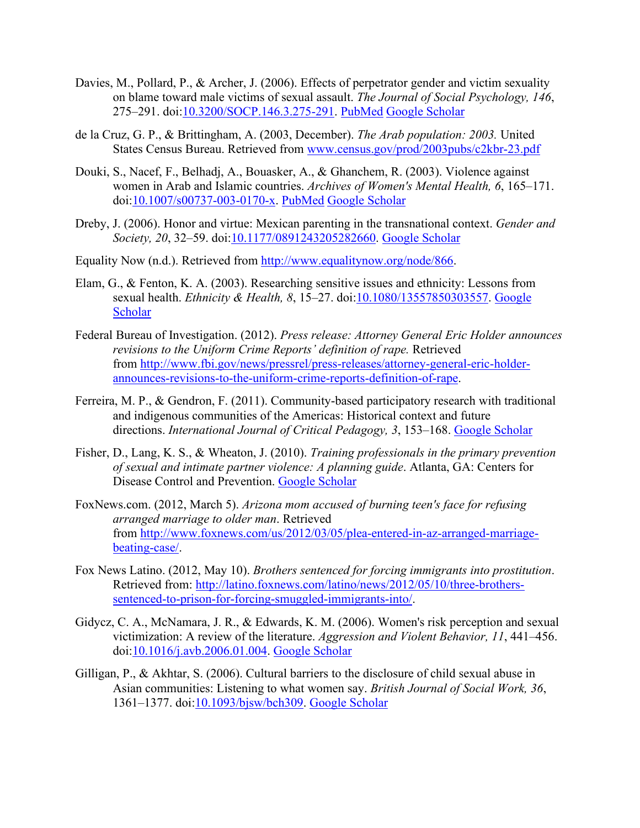- Davies, M., Pollard, P., & Archer, J. (2006). Effects of perpetrator gender and victim sexuality on blame toward male victims of sexual assault. *The Journal of Social Psychology, 146*, 275–291. doi[:10.3200/SOCP.146.3.275-291.](https://doi.org/10.3200/SOCP.146.3.275-291) [PubMed](http://www.ncbi.nlm.nih.gov/entrez/query.fcgi?cmd=Retrieve&db=PubMed&dopt=Abstract&list_uids=16783982) [Google Scholar](http://scholar.google.com/scholar_lookup?&title=Effects%20of%20perpetrator%20gender%20and%20victim%20sexuality%20on%20blame%20toward%20male%20victims%20of%20sexual%20assault&journal=The%20Journal%20of%20Social%20Psychology&doi=10.3200%2FSOCP.146.3.275-291&volume=146&pages=275-291&publication_year=2006&author=Davies%2CM&author=Pollard%2CP&author=Archer%2CJ)
- de la Cruz, G. P., & Brittingham, A. (2003, December). *The Arab population: 2003.* United States Census Bureau. Retrieved from [www.census.gov/prod/2003pubs/c2kbr-23.pdf](http://www.census.gov/prod/2003pubs/c2kbr-23.pdf)
- Douki, S., Nacef, F., Belhadj, A., Bouasker, A., & Ghanchem, R. (2003). Violence against women in Arab and Islamic countries. *Archives of Women's Mental Health, 6*, 165–171. doi[:10.1007/s00737-003-0170-x.](https://doi.org/10.1007/s00737-003-0170-x) [PubMed](http://www.ncbi.nlm.nih.gov/entrez/query.fcgi?cmd=Retrieve&db=PubMed&dopt=Abstract&list_uids=12920614) [Google Scholar](http://scholar.google.com/scholar_lookup?&title=Violence%20against%20women%20in%20Arab%20and%20Islamic%20countries&journal=Archives%20of%20Women%27s%20Mental%20Health&doi=10.1007%2Fs00737-003-0170-x&volume=6&pages=165-171&publication_year=2003&author=Douki%2CS&author=Nacef%2CF&author=Belhadj%2CA&author=Bouasker%2CA&author=Ghanchem%2CR)
- Dreby, J. (2006). Honor and virtue: Mexican parenting in the transnational context. *Gender and Society, 20*, 32–59. doi[:10.1177/0891243205282660.](https://doi.org/10.1177/0891243205282660) [Google Scholar](http://scholar.google.com/scholar_lookup?&title=Honor%20and%20virtue%3A%20Mexican%20parenting%20in%20the%20transnational%20context&journal=Gender%20and%20Society&doi=10.1177%2F0891243205282660&volume=20&pages=32-59&publication_year=2006&author=Dreby%2CJ)
- Equality Now (n.d.). Retrieved from [http://www.equalitynow.org/node/866.](http://www.equalitynow.org/node/866)
- Elam, G., & Fenton, K. A. (2003). Researching sensitive issues and ethnicity: Lessons from sexual health. *Ethnicity & Health, 8*, 15–27. doi[:10.1080/13557850303557.](https://doi.org/10.1080/13557850303557) [Google](http://scholar.google.com/scholar_lookup?&title=Researching%20sensitive%20issues%20and%20ethnicity%3A%20Lessons%20from%20sexual%20health&journal=Ethnicity%20%26%20Health&doi=10.1080%2F13557850303557&volume=8&pages=15-27&publication_year=2003&author=Elam%2CG&author=Fenton%2CKA)  **[Scholar](http://scholar.google.com/scholar_lookup?&title=Researching%20sensitive%20issues%20and%20ethnicity%3A%20Lessons%20from%20sexual%20health&journal=Ethnicity%20%26%20Health&doi=10.1080%2F13557850303557&volume=8&pages=15-27&publication_year=2003&author=Elam%2CG&author=Fenton%2CKA)**
- Federal Bureau of Investigation. (2012). *Press release: Attorney General Eric Holder announces revisions to the Uniform Crime Reports' definition of rape.* Retrieved from [http://www.fbi.gov/news/pressrel/press-releases/attorney-general-eric-holder](http://www.fbi.gov/news/pressrel/press-releases/attorney-general-eric-holder-announces-revisions-to-the-uniform-crime-reports-definition-of-rape)[announces-revisions-to-the-uniform-crime-reports-definition-of-rape.](http://www.fbi.gov/news/pressrel/press-releases/attorney-general-eric-holder-announces-revisions-to-the-uniform-crime-reports-definition-of-rape)
- Ferreira, M. P., & Gendron, F. (2011). Community-based participatory research with traditional and indigenous communities of the Americas: Historical context and future directions. *International Journal of Critical Pedagogy, 3*, 153–168. [Google Scholar](http://scholar.google.com/scholar_lookup?&title=Community-based%20participatory%20research%20with%20traditional%20and%20indigenous%20communities%20of%20the%20Americas%3A%20Historical%20context%20and%20future%20directions&journal=International%20Journal%20of%20Critical%20Pedagogy&volume=3&pages=153-168&publication_year=2011&author=Ferreira%2CMP&author=Gendron%2CF)
- Fisher, D., Lang, K. S., & Wheaton, J. (2010). *Training professionals in the primary prevention of sexual and intimate partner violence: A planning guide*. Atlanta, GA: Centers for Disease Control and Prevention. [Google Scholar](http://scholar.google.com/scholar_lookup?&title=Training%20professionals%20in%20the%20primary%20prevention%20of%20sexual%20and%20intimate%20partner%20violence%3A%20A%20planning%20guide&publication_year=2010&author=Fisher%2CD&author=Lang%2CKS&author=Wheaton%2CJ)
- FoxNews.com. (2012, March 5). *Arizona mom accused of burning teen's face for refusing arranged marriage to older man*. Retrieved from [http://www.foxnews.com/us/2012/03/05/plea-entered-in-az-arranged-marriage](http://www.foxnews.com/us/2012/03/05/plea-entered-in-az-arranged-marriage-beating-case/)[beating-case/.](http://www.foxnews.com/us/2012/03/05/plea-entered-in-az-arranged-marriage-beating-case/)
- Fox News Latino. (2012, May 10). *Brothers sentenced for forcing immigrants into prostitution*. Retrieved from: [http://latino.foxnews.com/latino/news/2012/05/10/three-brothers](http://latino.foxnews.com/latino/news/2012/05/10/three-brothers-sentenced-to-prison-for-forcing-smuggled-immigrants-into/)[sentenced-to-prison-for-forcing-smuggled-immigrants-into/.](http://latino.foxnews.com/latino/news/2012/05/10/three-brothers-sentenced-to-prison-for-forcing-smuggled-immigrants-into/)
- Gidycz, C. A., McNamara, J. R., & Edwards, K. M. (2006). Women's risk perception and sexual victimization: A review of the literature. *Aggression and Violent Behavior, 11*, 441–456. doi[:10.1016/j.avb.2006.01.004.](https://doi.org/10.1016/j.avb.2006.01.004) [Google Scholar](http://scholar.google.com/scholar_lookup?&title=Women%27s%20risk%20perception%20and%20sexual%20victimization%3A%20A%20review%20of%20the%20literature&journal=Aggression%20and%20Violent%20Behavior&doi=10.1016%2Fj.avb.2006.01.004&volume=11&pages=441-456&publication_year=2006&author=Gidycz%2CCA&author=McNamara%2CJR&author=Edwards%2CKM)
- Gilligan, P., & Akhtar, S. (2006). Cultural barriers to the disclosure of child sexual abuse in Asian communities: Listening to what women say. *British Journal of Social Work, 36*, 1361–1377. doi[:10.1093/bjsw/bch309.](https://doi.org/10.1093/bjsw/bch309) [Google Scholar](http://scholar.google.com/scholar_lookup?&title=Cultural%20barriers%20to%20the%20disclosure%20of%20child%20sexual%20abuse%20in%20Asian%20communities%3A%20Listening%20to%20what%20women%20say&journal=British%20Journal%20of%20Social%20Work&doi=10.1093%2Fbjsw%2Fbch309&volume=36&pages=1361-1377&publication_year=2006&author=Gilligan%2CP&author=Akhtar%2CS)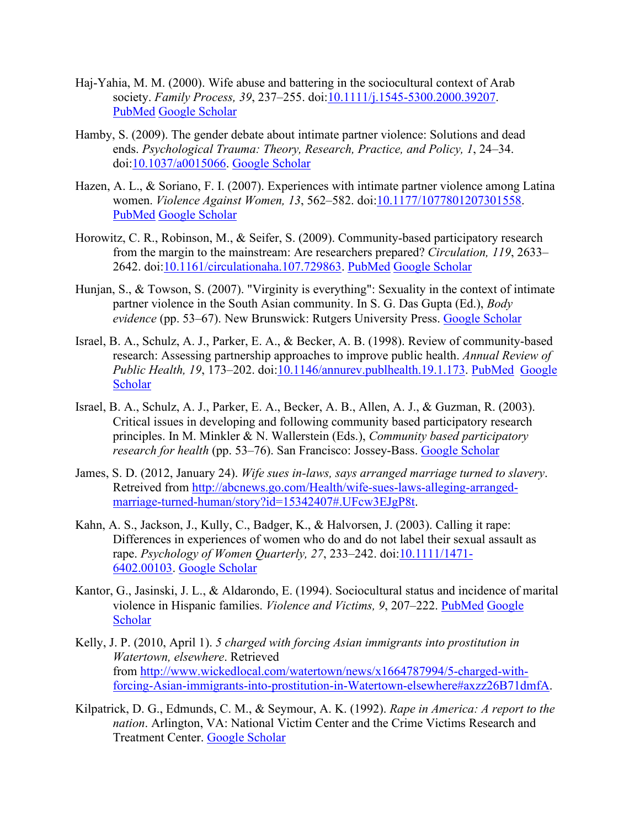- Haj-Yahia, M. M. (2000). Wife abuse and battering in the sociocultural context of Arab society. *Family Process, 39*, 237–255. doi[:10.1111/j.1545-5300.2000.39207.](https://doi.org/10.1111/j.1545-5300.2000.39207) [PubMed](http://www.ncbi.nlm.nih.gov/entrez/query.fcgi?cmd=Retrieve&db=PubMed&dopt=Abstract&list_uids=10907149) [Google Scholar](http://scholar.google.com/scholar_lookup?&title=Wife%20abuse%20and%20battering%20in%20the%20sociocultural%20context%20of%20Arab%20society&journal=Family%20Process&doi=10.1111%2Fj.1545-5300.2000.39207&volume=39&pages=237-255&publication_year=2000&author=Haj-Yahia%2CMM)
- Hamby, S. (2009). The gender debate about intimate partner violence: Solutions and dead ends. *Psychological Trauma: Theory, Research, Practice, and Policy, 1*, 24–34. doi[:10.1037/a0015066.](https://doi.org/10.1037/a0015066) [Google Scholar](http://scholar.google.com/scholar_lookup?&title=The%20gender%20debate%20about%20intimate%20partner%20violence%3A%20Solutions%20and%20dead%20ends&journal=Psychological%20Trauma%3A%20Theory%2C%20Research%2C%20Practice%2C%20and%20Policy&doi=10.1037%2Fa0015066&volume=1&pages=24-34&publication_year=2009&author=Hamby%2CS)
- Hazen, A. L., & Soriano, F. I. (2007). Experiences with intimate partner violence among Latina women. *Violence Against Women, 13*, 562–582. doi[:10.1177/1077801207301558.](https://doi.org/10.1177/1077801207301558) [PubMed](http://www.ncbi.nlm.nih.gov/entrez/query.fcgi?cmd=Retrieve&db=PubMed&dopt=Abstract&list_uids=17515406) [Google Scholar](http://scholar.google.com/scholar_lookup?&title=Experiences%20with%20intimate%20partner%20violence%20among%20Latina%20women&journal=Violence%20Against%20Women&doi=10.1177%2F1077801207301558&volume=13&pages=562-582&publication_year=2007&author=Hazen%2CAL&author=Soriano%2CFI)
- Horowitz, C. R., Robinson, M., & Seifer, S. (2009). Community-based participatory research from the margin to the mainstream: Are researchers prepared? *Circulation, 119*, 2633– 2642. doi[:10.1161/circulationaha.107.729863.](https://doi.org/10.1161/circulationaha.107.729863) [PubMed](http://www.ncbi.nlm.nih.gov/entrez/query.fcgi?cmd=Retrieve&db=PubMed&dopt=Abstract&list_uids=19451365) [Google Scholar](http://scholar.google.com/scholar_lookup?&title=Community-based%20participatory%20research%20from%20the%20margin%20to%20the%20mainstream%3A%20Are%20researchers%20prepared%3F&journal=Circulation&doi=10.1161%2Fcirculationaha.107.729863&volume=119&pages=2633-2642&publication_year=2009&author=Horowitz%2CCR&author=Robinson%2CM&author=Seifer%2CS)
- Hunjan, S., & Towson, S. (2007). "Virginity is everything": Sexuality in the context of intimate partner violence in the South Asian community. In S. G. Das Gupta (Ed.), *Body evidence* (pp. 53–67). New Brunswick: Rutgers University Press. [Google Scholar](http://scholar.google.com/scholar_lookup?&title=Body%20evidence&pages=53-67&publication_year=2007&author=Hunjan%2CS&author=Towson%2CS)
- Israel, B. A., Schulz, A. J., Parker, E. A., & Becker, A. B. (1998). Review of community-based research: Assessing partnership approaches to improve public health. *Annual Review of*  Public Health, 19, 173-202. doi: 10.1146/annurev.publhealth.19.1.173. [PubMed](http://www.ncbi.nlm.nih.gov/entrez/query.fcgi?cmd=Retrieve&db=PubMed&dopt=Abstract&list_uids=9611617) Google [Scholar](http://scholar.google.com/scholar_lookup?&title=Review%20of%20community-based%20research%3A%20Assessing%20partnership%20approaches%20to%20improve%20public%20health&journal=Annual%20Review%20of%20Public%20Health&doi=10.1146%2Fannurev.publhealth.19.1.173&volume=19&pages=173-202&publication_year=1998&author=Israel%2CBA&author=Schulz%2CAJ&author=Parker%2CEA&author=Becker%2CAB)
- Israel, B. A., Schulz, A. J., Parker, E. A., Becker, A. B., Allen, A. J., & Guzman, R. (2003). Critical issues in developing and following community based participatory research principles. In M. Minkler & N. Wallerstein (Eds.), *Community based participatory research for health* (pp. 53–76). San Francisco: Jossey-Bass. [Google Scholar](http://scholar.google.com/scholar_lookup?&title=Community%20based%20participatory%20research%20for%20health&pages=53-76&publication_year=2003&author=Israel%2CBA&author=Schulz%2CAJ&author=Parker%2CEA&author=Becker%2CAB&author=Allen%2CAJ&author=Guzman%2CR)
- James, S. D. (2012, January 24). *Wife sues in-laws, says arranged marriage turned to slavery*. Retreived from [http://abcnews.go.com/Health/wife-sues-laws-alleging-arranged](http://abcnews.go.com/Health/wife-sues-laws-alleging-arranged-marriage-turned-human/story?id=15342407#.UFcw3EJgP8t)[marriage-turned-human/story?id=15342407#.UFcw3EJgP8t.](http://abcnews.go.com/Health/wife-sues-laws-alleging-arranged-marriage-turned-human/story?id=15342407#.UFcw3EJgP8t)
- Kahn, A. S., Jackson, J., Kully, C., Badger, K., & Halvorsen, J. (2003). Calling it rape: Differences in experiences of women who do and do not label their sexual assault as rape. *Psychology of Women Quarterly, 27*, 233–242. doi[:10.1111/1471-](https://doi.org/10.1111/1471-6402.00103) [6402.00103.](https://doi.org/10.1111/1471-6402.00103) [Google Scholar](http://scholar.google.com/scholar_lookup?&title=Calling%20it%20rape%3A%20Differences%20in%20experiences%20of%20women%20who%20do%20and%20do%20not%20label%20their%20sexual%20assault%20as%20rape&journal=Psychology%20of%20Women%20Quarterly&doi=10.1111%2F1471-6402.00103&volume=27&pages=233-242&publication_year=2003&author=Kahn%2CAS&author=Jackson%2CJ&author=Kully%2CC&author=Badger%2CK&author=Halvorsen%2CJ)
- Kantor, G., Jasinski, J. L., & Aldarondo, E. (1994). Sociocultural status and incidence of marital violence in Hispanic families. *Violence and Victims, 9*, 207–222. [PubMed](http://www.ncbi.nlm.nih.gov/entrez/query.fcgi?cmd=Retrieve&db=PubMed&dopt=Abstract&list_uids=7647043) [Google](http://scholar.google.com/scholar_lookup?&title=Sociocultural%20status%20and%20incidence%20of%20marital%20violence%20in%20Hispanic%20families&journal=Violence%20and%20Victims&volume=9&pages=207-222&publication_year=1994&author=Kantor%2CG&author=Jasinski%2CJL&author=Aldarondo%2CE)  [Scholar](http://scholar.google.com/scholar_lookup?&title=Sociocultural%20status%20and%20incidence%20of%20marital%20violence%20in%20Hispanic%20families&journal=Violence%20and%20Victims&volume=9&pages=207-222&publication_year=1994&author=Kantor%2CG&author=Jasinski%2CJL&author=Aldarondo%2CE)
- Kelly, J. P. (2010, April 1). *5 charged with forcing Asian immigrants into prostitution in Watertown, elsewhere*. Retrieved from [http://www.wickedlocal.com/watertown/news/x1664787994/5-charged-with](http://www.wickedlocal.com/watertown/news/x1664787994/5-charged-with-forcing-Asian-immigrants-into-prostitution-in-Watertown-elsewhere#axzz26B71dmfA)[forcing-Asian-immigrants-into-prostitution-in-Watertown-elsewhere#axzz26B71dmfA.](http://www.wickedlocal.com/watertown/news/x1664787994/5-charged-with-forcing-Asian-immigrants-into-prostitution-in-Watertown-elsewhere#axzz26B71dmfA)
- Kilpatrick, D. G., Edmunds, C. M., & Seymour, A. K. (1992). *Rape in America: A report to the nation*. Arlington, VA: National Victim Center and the Crime Victims Research and Treatment Center. [Google Scholar](http://scholar.google.com/scholar_lookup?&title=Rape%20in%20America%3A%20A%20report%20to%20the%20nation&publication_year=1992&author=Kilpatrick%2CDG&author=Edmunds%2CCM&author=Seymour%2CAK)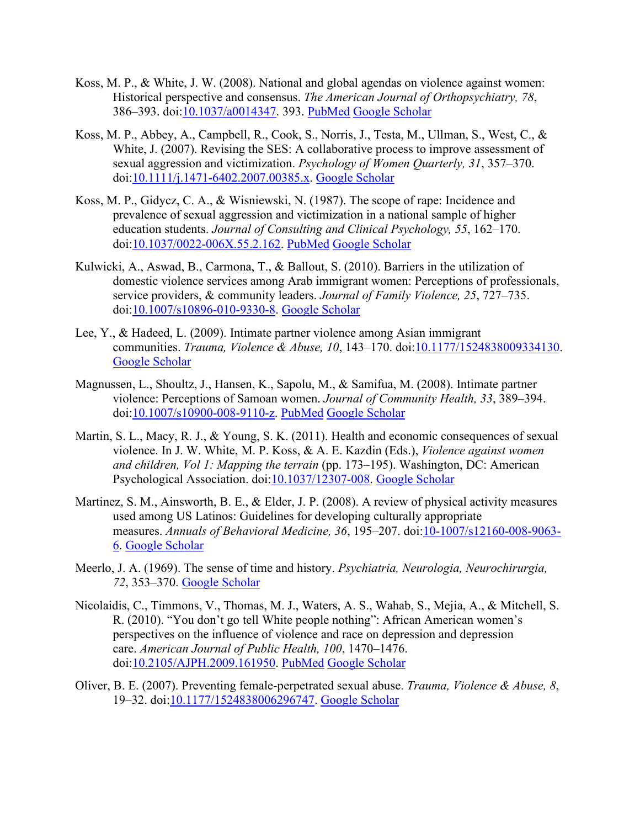- Koss, M. P., & White, J. W. (2008). National and global agendas on violence against women: Historical perspective and consensus. *The American Journal of Orthopsychiatry, 78*, 386–393. doi[:10.1037/a0014347.](https://doi.org/10.1037/a0014347) 393. [PubMed](http://www.ncbi.nlm.nih.gov/entrez/query.fcgi?cmd=Retrieve&db=PubMed&dopt=Abstract&list_uids=19123759) [Google Scholar](http://scholar.google.com/scholar_lookup?&title=National%20and%20global%20agendas%20on%20violence%20against%20women%3A%20Historical%20perspective%20and%20consensus&journal=The%20American%20Journal%20of%20Orthopsychiatry&doi=10.1037%2Fa0014347&volume=78&pages=386-393&publication_year=2008&author=Koss%2CMP&author=White%2CJW)
- Koss, M. P., Abbey, A., Campbell, R., Cook, S., Norris, J., Testa, M., Ullman, S., West, C., & White, J. (2007). Revising the SES: A collaborative process to improve assessment of sexual aggression and victimization. *Psychology of Women Quarterly, 31*, 357–370. doi[:10.1111/j.1471-6402.2007.00385.x.](https://doi.org/10.1111/j.1471-6402.2007.00385.x) [Google Scholar](http://scholar.google.com/scholar_lookup?&title=Revising%20the%20SES%3A%20A%20collaborative%20process%20to%20improve%20assessment%20of%20sexual%20aggression%20and%20victimization&journal=Psychology%20of%20Women%20Quarterly&doi=10.1111%2Fj.1471-6402.2007.00385.x&volume=31&pages=357-370&publication_year=2007&author=Koss%2CMP&author=Abbey%2CA&author=Campbell%2CR&author=Cook%2CS&author=Norris%2CJ&author=Testa%2CM&author=Ullman%2CS&author=West%2CC&author=White%2CJ)
- Koss, M. P., Gidycz, C. A., & Wisniewski, N. (1987). The scope of rape: Incidence and prevalence of sexual aggression and victimization in a national sample of higher education students. *Journal of Consulting and Clinical Psychology, 55*, 162–170. doi[:10.1037/0022-006X.55.2.162.](https://doi.org/10.1037/0022-006X.55.2.162) [PubMed](http://www.ncbi.nlm.nih.gov/entrez/query.fcgi?cmd=Retrieve&db=PubMed&dopt=Abstract&list_uids=3494755) [Google Scholar](http://scholar.google.com/scholar_lookup?&title=The%20scope%20of%20rape%3A%20Incidence%20and%20prevalence%20of%20sexual%20aggression%20and%20victimization%20in%20a%20national%20sample%20of%20higher%20education%20students&journal=Journal%20of%20Consulting%20and%20Clinical%20Psychology&doi=10.1037%2F0022-006X.55.2.162&volume=55&pages=162-170&publication_year=1987&author=Koss%2CMP&author=Gidycz%2CCA&author=Wisniewski%2CN)
- Kulwicki, A., Aswad, B., Carmona, T., & Ballout, S. (2010). Barriers in the utilization of domestic violence services among Arab immigrant women: Perceptions of professionals, service providers, & community leaders. *Journal of Family Violence, 25*, 727–735. doi[:10.1007/s10896-010-9330-8.](https://doi.org/10.1007/s10896-010-9330-8) [Google Scholar](http://scholar.google.com/scholar_lookup?&title=Barriers%20in%20the%20utilization%20of%20domestic%20violence%20services%20among%20Arab%20immigrant%20women%3A%20Perceptions%20of%20professionals%2C%20service%20providers%2C%20%26%20community%20leaders&journal=Journal%20of%20Family%20Violence&doi=10.1007%2Fs10896-010-9330-8&volume=25&pages=727-735&publication_year=2010&author=Kulwicki%2CA&author=Aswad%2CB&author=Carmona%2CT&author=Ballout%2CS)
- Lee, Y., & Hadeed, L. (2009). Intimate partner violence among Asian immigrant communities. *Trauma, Violence & Abuse, 10*, 143–170. doi[:10.1177/1524838009334130.](https://doi.org/10.1177/1524838009334130) [Google Scholar](http://scholar.google.com/scholar_lookup?&title=Intimate%20partner%20violence%20among%20Asian%20immigrant%20communities&journal=Trauma%2C%20Violence%20%26%20Abuse&doi=10.1177%2F1524838009334130&volume=10&pages=143-170&publication_year=2009&author=Lee%2CY&author=Hadeed%2CL)
- Magnussen, L., Shoultz, J., Hansen, K., Sapolu, M., & Samifua, M. (2008). Intimate partner violence: Perceptions of Samoan women. *Journal of Community Health, 33*, 389–394. doi[:10.1007/s10900-008-9110-z.](https://doi.org/10.1007/s10900-008-9110-z) [PubMed](http://www.ncbi.nlm.nih.gov/entrez/query.fcgi?cmd=Retrieve&db=PubMed&dopt=Abstract&list_uids=18581217) [Google Scholar](http://scholar.google.com/scholar_lookup?&title=Intimate%20partner%20violence%3A%20Perceptions%20of%20Samoan%20women&journal=Journal%20of%20Community%20Health&doi=10.1007%2Fs10900-008-9110-z&volume=33&pages=389-394&publication_year=2008&author=Magnussen%2CL&author=Shoultz%2CJ&author=Hansen%2CK&author=Sapolu%2CM&author=Samifua%2CM)
- Martin, S. L., Macy, R. J., & Young, S. K. (2011). Health and economic consequences of sexual violence. In J. W. White, M. P. Koss, & A. E. Kazdin (Eds.), *Violence against women and children, Vol 1: Mapping the terrain* (pp. 173–195). Washington, DC: American Psychological Association. doi[:10.1037/12307-008.](https://doi.org/10.1037/12307-008) [Google Scholar](http://scholar.google.com/scholar_lookup?&title=Violence%20against%20women%20and%20children%2C%20Vol%201%3A%20Mapping%20the%20terrain&pages=173-195&publication_year=2011&author=Martin%2CSL&author=Macy%2CRJ&author=Young%2CSK)
- Martinez, S. M., Ainsworth, B. E., & Elder, J. P. (2008). A review of physical activity measures used among US Latinos: Guidelines for developing culturally appropriate measures. *Annuals of Behavioral Medicine, 36*, 195–207. doi[:10-1007/s12160-008-9063-](https://doi.org/10-1007/s12160-008-9063-6) [6.](https://doi.org/10-1007/s12160-008-9063-6) [Google Scholar](http://scholar.google.com/scholar_lookup?&title=A%20review%20of%20physical%20activity%20measures%20used%20among%20US%20Latinos%3A%20Guidelines%20for%20developing%20culturally%20appropriate%20measures&journal=Annuals%20of%20Behavioral%20Medicine&doi=10-1007%2Fs12160-008-9063-6&volume=36&pages=195-207&publication_year=2008&author=Martinez%2CSM&author=Ainsworth%2CBE&author=Elder%2CJP)
- Meerlo, J. A. (1969). The sense of time and history. *Psychiatria, Neurologia, Neurochirurgia, 72*, 353–370. [Google Scholar](http://scholar.google.com/scholar_lookup?&title=The%20sense%20of%20time%20and%20history&journal=Psychiatria%2C%20Neurologia%2C%20Neurochirurgia&volume=72&pages=353-370&publication_year=1969&author=Meerlo%2CJA)
- Nicolaidis, C., Timmons, V., Thomas, M. J., Waters, A. S., Wahab, S., Mejia, A., & Mitchell, S. R. (2010). "You don't go tell White people nothing": African American women's perspectives on the influence of violence and race on depression and depression care. *American Journal of Public Health, 100*, 1470–1476. doi[:10.2105/AJPH.2009.161950.](https://doi.org/10.2105/AJPH.2009.161950) [PubMed](http://www.ncbi.nlm.nih.gov/entrez/query.fcgi?cmd=Retrieve&db=PubMed&dopt=Abstract&list_uids=20558811) [Google Scholar](http://scholar.google.com/scholar_lookup?&title=%E2%80%9CYou%20don%E2%80%99t%20go%20tell%20White%20people%20nothing%E2%80%9D%3A%20African%20American%20women%E2%80%99s%20perspectives%20on%20the%20influence%20of%20violence%20and%20race%20on%20depression%20and%20depression%20care&journal=American%20Journal%20of%20Public%20Health&doi=10.2105%2FAJPH.2009.161950&volume=100&pages=1470-1476&publication_year=2010&author=Nicolaidis%2CC&author=Timmons%2CV&author=Thomas%2CMJ&author=Waters%2CAS&author=Wahab%2CS&author=Mejia%2CA&author=Mitchell%2CSR)
- Oliver, B. E. (2007). Preventing female-perpetrated sexual abuse. *Trauma, Violence & Abuse, 8*, 19–32. doi[:10.1177/1524838006296747.](https://doi.org/10.1177/1524838006296747) [Google Scholar](http://scholar.google.com/scholar_lookup?&title=Preventing%20female-perpetrated%20sexual%20abuse&journal=Trauma%2C%20Violence%20%26%20Abuse&doi=10.1177%2F1524838006296747&volume=8&pages=19-32&publication_year=2007&author=Oliver%2CBE)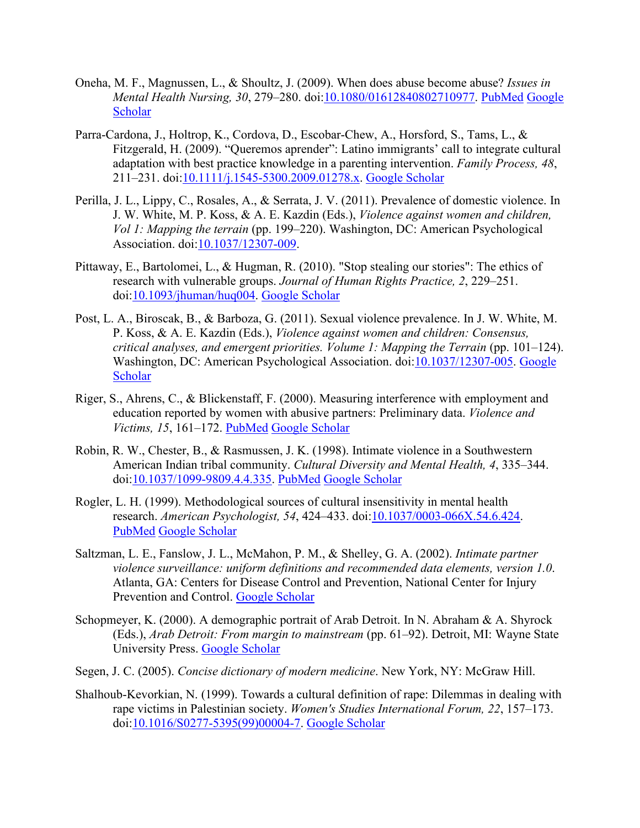- Oneha, M. F., Magnussen, L., & Shoultz, J. (2009). When does abuse become abuse? *Issues in Mental Health Nursing, 30*, 279–280. doi[:10.1080/01612840802710977.](https://doi.org/10.1080/01612840802710977) [PubMed](http://www.ncbi.nlm.nih.gov/entrez/query.fcgi?cmd=Retrieve&db=PubMed&dopt=Abstract&list_uids=19363733) [Google](http://scholar.google.com/scholar_lookup?&title=When%20does%20abuse%20become%20abuse%3F&journal=Issues%20in%20Mental%20Health%20Nursing&doi=10.1080%2F01612840802710977&volume=30&pages=279-280&publication_year=2009&author=Oneha%2CMF&author=Magnussen%2CL&author=Shoultz%2CJ)  [Scholar](http://scholar.google.com/scholar_lookup?&title=When%20does%20abuse%20become%20abuse%3F&journal=Issues%20in%20Mental%20Health%20Nursing&doi=10.1080%2F01612840802710977&volume=30&pages=279-280&publication_year=2009&author=Oneha%2CMF&author=Magnussen%2CL&author=Shoultz%2CJ)
- Parra-Cardona, J., Holtrop, K., Cordova, D., Escobar-Chew, A., Horsford, S., Tams, L., & Fitzgerald, H. (2009). "Queremos aprender": Latino immigrants' call to integrate cultural adaptation with best practice knowledge in a parenting intervention. *Family Process, 48*, 211–231. doi: 10.1111/j.1545-5300.2009.01278.x. [Google Scholar](http://scholar.google.com/scholar_lookup?&title=%E2%80%9CQueremos%20aprender%E2%80%9D%3A%20Latino%20immigrants%E2%80%99%20call%20to%20integrate%20cultural%20adaptation%20with%20best%20practice%20knowledge%20in%20a%20parenting%20intervention&journal=Family%20Process&doi=10.1111%2Fj.1545-5300.2009.01278.x&volume=48&pages=211-231&publication_year=2009&author=Parra-Cardona%2CJ&author=Holtrop%2CK&author=Cordova%2CD&author=Escobar-Chew%2CA&author=Horsford%2CS&author=Tams%2CL&author=Fitzgerald%2CH)
- Perilla, J. L., Lippy, C., Rosales, A., & Serrata, J. V. (2011). Prevalence of domestic violence. In J. W. White, M. P. Koss, & A. E. Kazdin (Eds.), *Violence against women and children, Vol 1: Mapping the terrain* (pp. 199–220). Washington, DC: American Psychological Association. doi[:10.1037/12307-009.](https://doi.org/10.1037/12307-009)
- Pittaway, E., Bartolomei, L., & Hugman, R. (2010). "Stop stealing our stories": The ethics of research with vulnerable groups. *Journal of Human Rights Practice, 2*, 229–251. doi[:10.1093/jhuman/huq004.](https://doi.org/10.1093/jhuman/huq004) [Google Scholar](http://scholar.google.com/scholar_lookup?&title=%22Stop%20stealing%20our%20stories%22%3A%20The%20ethics%20of%20research%20with%20vulnerable%20groups&journal=Journal%20of%20Human%20Rights%20Practice&doi=10.1093%2Fjhuman%2Fhuq004&volume=2&pages=229-251&publication_year=2010&author=Pittaway%2CE&author=Bartolomei%2CL&author=Hugman%2CR)
- Post, L. A., Biroscak, B., & Barboza, G. (2011). Sexual violence prevalence. In J. W. White, M. P. Koss, & A. E. Kazdin (Eds.), *Violence against women and children: Consensus, critical analyses, and emergent priorities. Volume 1: Mapping the Terrain* (pp. 101–124). Washington, DC: American Psychological Association. doi[:10.1037/12307-005.](https://doi.org/10.1037/12307-005) [Google](http://scholar.google.com/scholar_lookup?&title=Violence%20against%20women%20and%20children%3A%20Consensus%2C%20critical%20analyses%2C%20and%20emergent%20priorities.%20Volume%201%3A%20Mapping%20the%20Terrain&pages=101-124&publication_year=2011&author=Post%2CLA&author=Biroscak%2CB&author=Barboza%2CG)  [Scholar](http://scholar.google.com/scholar_lookup?&title=Violence%20against%20women%20and%20children%3A%20Consensus%2C%20critical%20analyses%2C%20and%20emergent%20priorities.%20Volume%201%3A%20Mapping%20the%20Terrain&pages=101-124&publication_year=2011&author=Post%2CLA&author=Biroscak%2CB&author=Barboza%2CG)
- Riger, S., Ahrens, C., & Blickenstaff, F. (2000). Measuring interference with employment and education reported by women with abusive partners: Preliminary data. *Violence and Victims, 15*, 161–172. [PubMed](http://www.ncbi.nlm.nih.gov/entrez/query.fcgi?cmd=Retrieve&db=PubMed&dopt=Abstract&list_uids=11108499) [Google Scholar](http://scholar.google.com/scholar_lookup?&title=Measuring%20interference%20with%20employment%20and%20education%20reported%20by%20women%20with%20abusive%20partners%3A%20Preliminary%20data&journal=Violence%20and%20Victims&volume=15&pages=161-172&publication_year=2000&author=Riger%2CS&author=Ahrens%2CC&author=Blickenstaff%2CF)
- Robin, R. W., Chester, B., & Rasmussen, J. K. (1998). Intimate violence in a Southwestern American Indian tribal community. *Cultural Diversity and Mental Health, 4*, 335–344. doi[:10.1037/1099-9809.4.4.335.](https://doi.org/10.1037/1099-9809.4.4.335) [PubMed](http://www.ncbi.nlm.nih.gov/entrez/query.fcgi?cmd=Retrieve&db=PubMed&dopt=Abstract&list_uids=9818522) [Google Scholar](http://scholar.google.com/scholar_lookup?&title=Intimate%20violence%20in%20a%20Southwestern%20American%20Indian%20tribal%20community&journal=Cultural%20Diversity%20and%20Mental%20Health&doi=10.1037%2F1099-9809.4.4.335&volume=4&pages=335-344&publication_year=1998&author=Robin%2CRW&author=Chester%2CB&author=Rasmussen%2CJK)
- Rogler, L. H. (1999). Methodological sources of cultural insensitivity in mental health research. *American Psychologist, 54*, 424–433. doi[:10.1037/0003-066X.54.6.424.](https://doi.org/10.1037/0003-066X.54.6.424) [PubMed](http://www.ncbi.nlm.nih.gov/entrez/query.fcgi?cmd=Retrieve&db=PubMed&dopt=Abstract&list_uids=10392472) [Google Scholar](http://scholar.google.com/scholar_lookup?&title=Methodological%20sources%20of%20cultural%20insensitivity%20in%20mental%20health%20research&journal=American%20Psychologist&doi=10.1037%2F0003-066X.54.6.424&volume=54&pages=424-433&publication_year=1999&author=Rogler%2CLH)
- Saltzman, L. E., Fanslow, J. L., McMahon, P. M., & Shelley, G. A. (2002). *Intimate partner violence surveillance: uniform definitions and recommended data elements, version 1.0*. Atlanta, GA: Centers for Disease Control and Prevention, National Center for Injury Prevention and Control. [Google Scholar](http://scholar.google.com/scholar_lookup?&title=Intimate%20partner%20violence%20surveillance%3A%20uniform%20definitions%20and%20recommended%20data%20elements%2C%20version%201.0&publication_year=2002&author=Saltzman%2CLE&author=Fanslow%2CJL&author=McMahon%2CPM&author=Shelley%2CGA)
- Schopmeyer, K. (2000). A demographic portrait of Arab Detroit. In N. Abraham & A. Shyrock (Eds.), *Arab Detroit: From margin to mainstream* (pp. 61–92). Detroit, MI: Wayne State University Press. [Google Scholar](http://scholar.google.com/scholar_lookup?&title=Arab%20Detroit%3A%20From%20margin%20to%20mainstream&pages=61-92&publication_year=2000&author=Schopmeyer%2CK)
- Segen, J. C. (2005). *Concise dictionary of modern medicine*. New York, NY: McGraw Hill.
- Shalhoub-Kevorkian, N. (1999). Towards a cultural definition of rape: Dilemmas in dealing with rape victims in Palestinian society. *Women's Studies International Forum, 22*, 157–173. doi[:10.1016/S0277-5395\(99\)00004-7.](https://doi.org/10.1016/S0277-5395(99)00004-7) [Google Scholar](http://scholar.google.com/scholar_lookup?&title=Towards%20a%20cultural%20definition%20of%20rape%3A%20Dilemmas%20in%20dealing%20with%20rape%20victims%20in%20Palestinian%20society&journal=Women%27s%20Studies%20International%20Forum&doi=10.1016%2FS0277-5395%2899%2900004-7&volume=22&pages=157-173&publication_year=1999&author=Shalhoub-Kevorkian%2CN)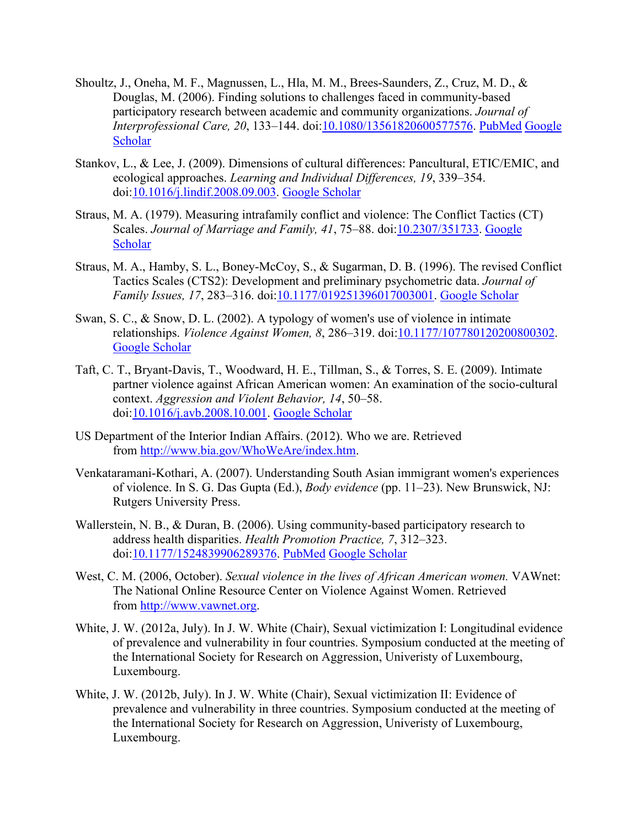- Shoultz, J., Oneha, M. F., Magnussen, L., Hla, M. M., Brees-Saunders, Z., Cruz, M. D., & Douglas, M. (2006). Finding solutions to challenges faced in community-based participatory research between academic and community organizations. *Journal of Interprofessional Care, 20*, 133–144. doi[:10.1080/13561820600577576.](https://doi.org/10.1080/13561820600577576) [PubMed](http://www.ncbi.nlm.nih.gov/entrez/query.fcgi?cmd=Retrieve&db=PubMed&dopt=Abstract&list_uids=16608716) [Google](http://scholar.google.com/scholar_lookup?&title=Finding%20solutions%20to%20challenges%20faced%20in%20community-based%20participatory%20research%20between%20academic%20and%20community%20organizations&journal=Journal%20of%20Interprofessional%20Care&doi=10.1080%2F13561820600577576&volume=20&pages=133-144&publication_year=2006&author=Shoultz%2CJ&author=Oneha%2CMF&author=Magnussen%2CL&author=Hla%2CMM&author=Brees-Saunders%2CZ&author=Cruz%2CMD&author=Douglas%2CM)  **[Scholar](http://scholar.google.com/scholar_lookup?&title=Finding%20solutions%20to%20challenges%20faced%20in%20community-based%20participatory%20research%20between%20academic%20and%20community%20organizations&journal=Journal%20of%20Interprofessional%20Care&doi=10.1080%2F13561820600577576&volume=20&pages=133-144&publication_year=2006&author=Shoultz%2CJ&author=Oneha%2CMF&author=Magnussen%2CL&author=Hla%2CMM&author=Brees-Saunders%2CZ&author=Cruz%2CMD&author=Douglas%2CM)**
- Stankov, L., & Lee, J. (2009). Dimensions of cultural differences: Pancultural, ETIC/EMIC, and ecological approaches. *Learning and Individual Differences, 19*, 339–354. doi[:10.1016/j.lindif.2008.09.003.](https://doi.org/10.1016/j.lindif.2008.09.003) [Google Scholar](http://scholar.google.com/scholar_lookup?&title=Dimensions%20of%20cultural%20differences%3A%20Pancultural%2C%20ETIC%2FEMIC%2C%20and%20ecological%20approaches&journal=Learning%20and%20Individual%20Differences&doi=10.1016%2Fj.lindif.2008.09.003&volume=19&pages=339-354&publication_year=2009&author=Stankov%2CL&author=Lee%2CJ)
- Straus, M. A. (1979). Measuring intrafamily conflict and violence: The Conflict Tactics (CT) Scales. *Journal of Marriage and Family, 41, 75*–88. doi: 10.2307/351733. Google **[Scholar](http://scholar.google.com/scholar_lookup?&title=Measuring%20intrafamily%20conflict%20and%20violence%3A%20The%20Conflict%20Tactics%20%28CT%29%20Scales&journal=Journal%20of%20Marriage%20and%20Family&doi=10.2307%2F351733&volume=41&pages=75-88&publication_year=1979&author=Straus%2CMA)**
- Straus, M. A., Hamby, S. L., Boney-McCoy, S., & Sugarman, D. B. (1996). The revised Conflict Tactics Scales (CTS2): Development and preliminary psychometric data. *Journal of Family Issues, 17*, 283–316. doi[:10.1177/019251396017003001.](https://doi.org/10.1177/019251396017003001) [Google Scholar](http://scholar.google.com/scholar_lookup?&title=The%20revised%20Conflict%20Tactics%20Scales%20%28CTS2%29%3A%20Development%20and%20preliminary%20psychometric%20data&journal=Journal%20of%20Family%20Issues&doi=10.1177%2F019251396017003001&volume=17&pages=283-316&publication_year=1996&author=Straus%2CMA&author=Hamby%2CSL&author=Boney-McCoy%2CS&author=Sugarman%2CDB)
- Swan, S. C., & Snow, D. L. (2002). A typology of women's use of violence in intimate relationships. *Violence Against Women, 8*, 286–319. doi[:10.1177/107780120200800302.](https://doi.org/10.1177/107780120200800302) [Google Scholar](http://scholar.google.com/scholar_lookup?&title=A%20typology%20of%20women%27s%20use%20of%20violence%20in%20intimate%20relationships&journal=Violence%20Against%20Women&doi=10.1177%2F107780120200800302&volume=8&pages=286-319&publication_year=2002&author=Swan%2CSC&author=Snow%2CDL)
- Taft, C. T., Bryant-Davis, T., Woodward, H. E., Tillman, S., & Torres, S. E. (2009). Intimate partner violence against African American women: An examination of the socio-cultural context. *Aggression and Violent Behavior, 14*, 50–58. doi[:10.1016/j.avb.2008.10.001.](https://doi.org/10.1016/j.avb.2008.10.001) [Google Scholar](http://scholar.google.com/scholar_lookup?&title=Intimate%20partner%20violence%20against%20African%20American%20women%3A%20An%20examination%20of%20the%20socio-cultural%20context&journal=Aggression%20and%20Violent%20Behavior&doi=10.1016%2Fj.avb.2008.10.001&volume=14&pages=50-58&publication_year=2009&author=Taft%2CCT&author=Bryant-Davis%2CT&author=Woodward%2CHE&author=Tillman%2CS&author=Torres%2CSE)
- US Department of the Interior Indian Affairs. (2012). Who we are. Retrieved from [http://www.bia.gov/WhoWeAre/index.htm.](http://www.bia.gov/WhoWeAre/index.htm)
- Venkataramani-Kothari, A. (2007). Understanding South Asian immigrant women's experiences of violence. In S. G. Das Gupta (Ed.), *Body evidence* (pp. 11–23). New Brunswick, NJ: Rutgers University Press.
- Wallerstein, N. B., & Duran, B. (2006). Using community-based participatory research to address health disparities. *Health Promotion Practice, 7*, 312–323. doi[:10.1177/1524839906289376.](https://doi.org/10.1177/1524839906289376) [PubMed](http://www.ncbi.nlm.nih.gov/entrez/query.fcgi?cmd=Retrieve&db=PubMed&dopt=Abstract&list_uids=16760238) [Google Scholar](http://scholar.google.com/scholar_lookup?&title=Using%20community-based%20participatory%20research%20to%20address%20health%20disparities&journal=Health%20Promotion%20Practice&doi=10.1177%2F1524839906289376&volume=7&pages=312-323&publication_year=2006&author=Wallerstein%2CNB&author=Duran%2CB)
- West, C. M. (2006, October). *Sexual violence in the lives of African American women.* VAWnet: The National Online Resource Center on Violence Against Women. Retrieved from [http://www.vawnet.org.](http://www.vawnet.org/)
- White, J. W. (2012a, July). In J. W. White (Chair), Sexual victimization I: Longitudinal evidence of prevalence and vulnerability in four countries. Symposium conducted at the meeting of the International Society for Research on Aggression, Univeristy of Luxembourg, Luxembourg.
- White, J. W. (2012b, July). In J. W. White (Chair), Sexual victimization II: Evidence of prevalence and vulnerability in three countries. Symposium conducted at the meeting of the International Society for Research on Aggression, Univeristy of Luxembourg, Luxembourg.